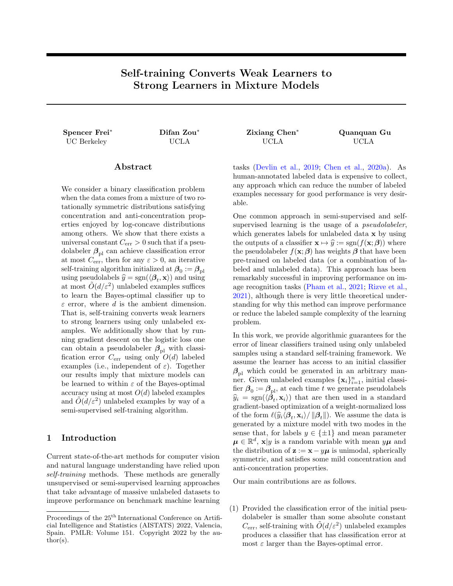# <span id="page-0-0"></span>Self-training Converts Weak Learners to Strong Learners in Mixture Models

# UC Berkeley UCLA UCLA UCLA

Spencer Frei<sup>∗</sup> Difan Zou<sup>∗</sup> Zixiang Chen<sup>∗</sup> Quanquan Gu

# Abstract

We consider a binary classification problem when the data comes from a mixture of two rotationally symmetric distributions satisfying concentration and anti-concentration properties enjoyed by log-concave distributions among others. We show that there exists a universal constant  $C_{\text{err}} > 0$  such that if a pseudolabeler  $\beta_{\text{pl}}$  can achieve classification error at most  $C_{\text{err}}$ , then for any  $\varepsilon > 0$ , an iterative self-training algorithm initialized at  $\beta_0 := \beta_{\text{pl}}$ using pseudolabels  $\hat{y} = \text{sgn}(\langle \boldsymbol{\beta}_t, \mathbf{x} \rangle)$  and using<br>at most  $\tilde{O}(d/\epsilon^2)$  unlabeled examples suffices at most  $\tilde{O}(d/\varepsilon^2)$  unlabeled examples suffices to learn the Bayes-optimal classifier up to  $\varepsilon$  error, where d is the ambient dimension. That is, self-training converts weak learners to strong learners using only unlabeled examples. We additionally show that by running gradient descent on the logistic loss one can obtain a pseudolabeler  $\beta_{\text{pl}}$  with classification error  $C_{\text{err}}$  using only  $O(d)$  labeled examples (i.e., independent of  $\varepsilon$ ). Together our results imply that mixture models can be learned to within  $\varepsilon$  of the Bayes-optimal accuracy using at most  $O(d)$  labeled examples and  $\tilde{O}(d/\varepsilon^2)$  unlabeled examples by way of a semi-supervised self-training algorithm.

# 1 Introduction

Current state-of-the-art methods for computer vision and natural language understanding have relied upon self-training methods. These methods are generally unsupervised or semi-supervised learning approaches that take advantage of massive unlabeled datasets to improve performance on benchmark machine learning tasks [\(Devlin et al.,](#page-8-0) [2019;](#page-8-0) [Chen et al.,](#page-8-1) [2020a\)](#page-8-1). As human-annotated labeled data is expensive to collect, any approach which can reduce the number of labeled examples necessary for good performance is very desirable.

One common approach in semi-supervised and selfsupervised learning is the usage of a *pseudolabeler*, which generates labels for unlabeled data x by using the outputs of a classifier  $\mathbf{x} \mapsto \hat{y} := \text{sgn}(f(\mathbf{x}; \boldsymbol{\beta}))$  where the pseudolabeler  $f(\mathbf{x}; \boldsymbol{\beta})$  has weights  $\boldsymbol{\beta}$  that have been pre-trained on labeled data (or a combination of labeled and unlabeled data). This approach has been remarkably successful in improving performance on image recognition tasks [\(Pham et al.,](#page-9-0) [2021;](#page-9-0) [Rizve et al.,](#page-9-1) [2021\)](#page-9-1), although there is very little theoretical understanding for why this method can improve performance or reduce the labeled sample complexity of the learning problem.

In this work, we provide algorithmic guarantees for the error of linear classifiers trained using only unlabeled samples using a standard self-training framework. We assume the learner has access to an initial classifier  $\beta_{\text{pl}}$  which could be generated in an arbitrary manner. Given unlabeled examples  $\{\mathbf x_i\}_{i=1}^n$ , initial classifier  $\beta_0 := \beta_{\text{pl}}$ , at each time t we generate pseudolabels  $\hat{y}_i = \text{sgn}(\langle \hat{\boldsymbol{\beta}}_t, \mathbf{x}_i \rangle)$  that are then used in a standard<br>
gradient based optimization of a weight normalized loss gradient-based optimization of a weight-normalized loss of the form  $\ell(\hat{y}_i \langle \beta_t, \mathbf{x}_i \rangle / ||\beta_t||)$ . We assume the data is generated by a mixture model with two modes in the sense that, for labels  $y \in {\pm 1}$  and mean parameter  $\mu \in \mathbb{R}^d$ ,  $\mathbf{x}|y$  is a random variable with mean  $y\mu$  and the distribution of  $z := x - y\mu$  is unimodal, spherically symmetric, and satisfies some mild concentration and anti-concentration properties.

Our main contributions are as follows.

(1) Provided the classification error of the initial pseudolabeler is smaller than some absolute constant  $C_{\text{err}}$ , self-training with  $\tilde{O}(d/\varepsilon^2)$  unlabeled examples produces a classifier that has classification error at most  $\varepsilon$  larger than the Bayes-optimal error.

Proceedings of the  $25^{\mathrm{th}}$  International Conference on Artificial Intelligence and Statistics (AISTATS) 2022, Valencia, Spain. PMLR: Volume 151. Copyright 2022 by the author(s).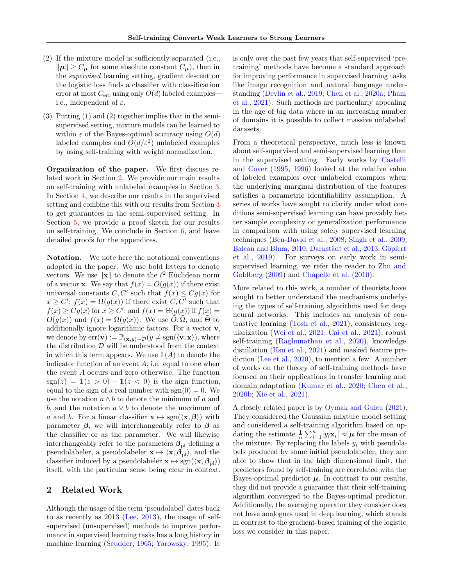- (2) If the mixture model is sufficiently separated (i.e.,  $\|\mu\| \ge C_{\mu}$  for some absolute constant  $C_{\mu}$ ), then in the supervised learning setting, gradient descent on the logistic loss finds a classifier with classification error at most  $C_{\text{err}}$  using only  $O(d)$  labeled examples– i.e., independent of  $\varepsilon$ .
- (3) Putting (1) and (2) together implies that in the semisupervised setting, mixture models can be learned to within  $\varepsilon$  of the Bayes-optimal accuracy using  $O(d)$ labeled examples and  $\tilde{O}(d/\varepsilon^2)$  unlabeled examples by using self-training with weight normalization.

Organization of the paper. We first discuss related work in Section [2.](#page-1-0) We provide our main results on self-training with unlabeled examples in Section [3.](#page-2-0) In Section [4,](#page-4-0) we describe our results in the supervised setting and combine this with our results from Section [3](#page-2-0) to get guarantees in the semi-supervised setting. In Section [5,](#page-4-1) we provide a proof sketch for our results on self-training. We conclude in Section [6,](#page-7-0) and leave detailed proofs for the appendices.

Notation. We note here the notational conventions adopted in the paper. We use bold letters to denote vectors. We use  $\|\mathbf{x}\|$  to denote the  $\ell^2$  Euclidean norm of a vector **x**. We say that  $f(x) = O(g(x))$  if there exist universal constants C, C' such that  $f(x) \leq Cg(x)$  for  $x \geq C'$ ;  $f(x) = \Omega(g(x))$  if there exist C, C' such that  $f(x) \geq Cg(x)$  for  $x \geq C'$ ; and  $f(x) = \Theta(g(x))$  if  $f(x) =$  $O(g(x))$  and  $f(x) = \Omega(g(x))$ . We use  $O, \Omega$ , and  $\Theta$  to additionally ignore logarithmic factors. For a vector  ${\bf v},$ we denote by  $err(\mathbf{v}) := \mathbb{P}_{(\mathbf{x},y) \sim \mathcal{D}}(y \neq \text{sgn}(\langle \mathbf{v}, \mathbf{x} \rangle),$  where the distribution  $D$  will be understood from the context in which this term appears. We use  $\mathbb{1}(A)$  to denote the indicator function of an event  $A$ , i.e. equal to one when the event A occurs and zero otherwise. The function  $sgn(z) = 1(z > 0) - 1(z < 0)$  is the sign function, equal to the sign of a real number with  $sgn(0) = 0$ . We use the notation  $a \wedge b$  to denote the minimum of a and b, and the notation  $a \vee b$  to denote the maximum of a and b. For a linear classifier  $\mathbf{x} \mapsto \text{sgn}(\langle \mathbf{x}, \boldsymbol{\beta} \rangle)$  with parameter  $\beta$ , we will interchangeably refer to  $\beta$  as the classifier or as the parameter. We will likewise interchangeably refer to the parameters  $\beta_{\text{pl}}$  defining a pseudolabeler, a pseudolabeler  $\mathbf{x} \mapsto \langle \mathbf{x}, \vec{\beta}_{\text{pl}} \rangle$ , and the classifier induced by a pseudolabeler  $\mathbf{x} \mapsto \text{sgn}(\langle \mathbf{x}, \beta_{\text{pl}} \rangle)$ itself, with the particular sense being clear in context.

### <span id="page-1-0"></span>2 Related Work

Although the usage of the term 'pseudolabel' dates back to as recently as 2013 [\(Lee,](#page-9-2) [2013\)](#page-9-2), the usage of selfsupervised (unsupervised) methods to improve performance in supervised learning tasks has a long history in machine learning [\(Scudder,](#page-9-3) [1965;](#page-9-3) [Yarowsky,](#page-9-4) [1995\)](#page-9-4). It is only over the past few years that self-supervised 'pretraining' methods have become a standard approach for improving performance in supervised learning tasks like image recognition and natural language understanding [\(Devlin et al.,](#page-8-0) [2019;](#page-8-0) [Chen et al.,](#page-8-1) [2020a;](#page-8-1) [Pham](#page-9-0) [et al.,](#page-9-0) [2021\)](#page-9-0). Such methods are particularly appealing in the age of big data where in an increasing number of domains it is possible to collect massive unlabeled datasets.

From a theoretical perspective, much less is known about self-supervised and semi-supervised learning than in the supervised setting. Early works by [Castelli](#page-8-2) [and Cover](#page-8-2) [\(1995,](#page-8-2) [1996\)](#page-8-3) looked at the relative value of labeled examples over unlabeled examples when the underlying marginal distribution of the features satisfies a parametric identifiability assumption. A series of works have sought to clarify under what conditions semi-supervised learning can have provably better sample complexity or generalization performance in comparison with using solely supervised learning techniques [\(Ben-David et al.,](#page-8-4) [2008;](#page-8-4) [Singh et al.,](#page-9-5) [2009;](#page-9-5) [Balcan and Blum,](#page-8-5) [2010;](#page-8-5) Darnstädt et al., [2013;](#page-8-6) Göpfert [et al.,](#page-9-6) [2019\)](#page-9-6). For surveys on early work in semisupervised learning, we refer the reader to [Zhu and](#page-9-7) [Goldberg](#page-9-7) [\(2009\)](#page-9-7) and [Chapelle et al.](#page-8-7) [\(2010\)](#page-8-7).

More related to this work, a number of theorists have sought to better understand the mechanisms underlying the types of self-training algorithms used for deep neural networks. This includes an analysis of contrastive learning [\(Tosh et al.,](#page-9-8) [2021\)](#page-9-8), consistency regularization [\(Wei et al.,](#page-9-9) [2021;](#page-9-9) [Cai et al.,](#page-8-8) [2021\)](#page-8-8), robust self-training [\(Raghunathan et al.,](#page-9-10) [2020\)](#page-9-10), knowledge distillation [\(Hsu et al.,](#page-9-11) [2021\)](#page-9-11) and masked feature prediction [\(Lee et al.,](#page-9-12) [2020\)](#page-9-12), to mention a few. A number of works on the theory of self-training methods have focused on their applications in transfer learning and domain adaptation [\(Kumar et al.,](#page-9-13) [2020;](#page-9-13) [Chen et al.,](#page-8-9) [2020b;](#page-8-9) [Xie et al.,](#page-9-14) [2021\)](#page-9-14).

A closely related paper is by [Oymak and Gulcu](#page-9-15) [\(2021\)](#page-9-15). They considered the Gaussian mixture model setting and considered a self-training algorithm based on updating the estimate  $\frac{1}{n} \sum_{i=1}^{n} [\ddot{y}_i \mathbf{x}_i] \approx \boldsymbol{\mu}$  for the mean of the mixture. By replacing the labels  $y_i$  with pseudolabels produced by some initial pseudolabeler, they are able to show that in the high dimensional limit, the predictors found by self-training are correlated with the Bayes-optimal predictor  $\mu$ . In contrast to our results, they did not provide a guarantee that their self-training algorithm converged to the Bayes-optimal predictor. Additionally, the averaging operator they consider does not have analogues used in deep learning, which stands in contrast to the gradient-based training of the logistic loss we consider in this paper.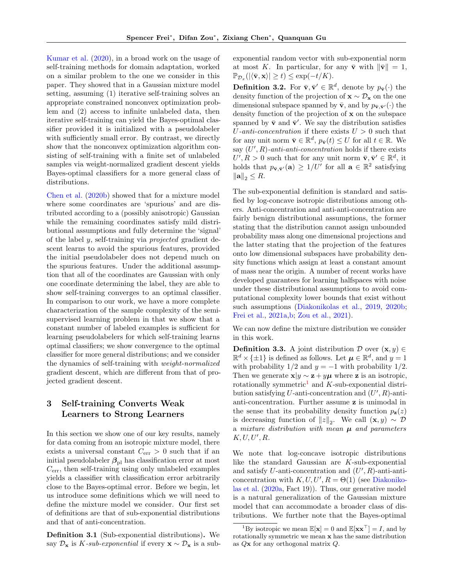[Kumar et al.](#page-9-13) [\(2020\)](#page-9-13), in a broad work on the usage of self-training methods for domain adaptation, worked on a similar problem to the one we consider in this paper. They showed that in a Gaussian mixture model setting, assuming (1) iterative self-training solves an appropriate constrained nonconvex optimization problem and (2) access to infinite unlabeled data, then iterative self-training can yield the Bayes-optimal classifier provided it is initialized with a pseudolabeler with sufficiently small error. By contrast, we directly show that the nonconvex optimization algorithm consisting of self-training with a finite set of unlabeled samples via weight-normalized gradient descent yields Bayes-optimal classifiers for a more general class of distributions.

[Chen et al.](#page-8-9) [\(2020b\)](#page-8-9) showed that for a mixture model where some coordinates are 'spurious' and are distributed according to a (possibly anisotropic) Gaussian while the remaining coordinates satisfy mild distributional assumptions and fully determine the 'signal' of the label y, self-training via projected gradient descent learns to avoid the spurious features, provided the initial pseudolabeler does not depend much on the spurious features. Under the additional assumption that all of the coordinates are Gaussian with only one coordinate determining the label, they are able to show self-training converges to an optimal classifier. In comparison to our work, we have a more complete characterization of the sample complexity of the semisupervised learning problem in that we show that a constant number of labeled examples is sufficient for learning pseudolabelers for which self-training learns optimal classifiers; we show convergence to the optimal classifier for more general distributions; and we consider the dynamics of self-training with weight-normalized gradient descent, which are different from that of projected gradient descent.

# <span id="page-2-0"></span>3 Self-training Converts Weak Learners to Strong Learners

In this section we show one of our key results, namely for data coming from an isotropic mixture model, there exists a universal constant  $C_{\text{err}} > 0$  such that if an initial pseudolabeler  $\beta_{\text{pl}}$  has classification error at most  $C_{\text{err}}$ , then self-training using only unlabeled examples yields a classifier with classification error arbitrarily close to the Bayes-optimal error. Before we begin, let us introduce some definitions which we will need to define the mixture model we consider. Our first set of definitions are that of sub-exponential distributions and that of anti-concentration.

Definition 3.1 (Sub-exponential distributions). We say  $\mathcal{D}_{\mathbf{x}}$  is K-sub-exponential if every  $\mathbf{x} \sim \mathcal{D}_{\mathbf{x}}$  is a subexponential random vector with sub-exponential norm at most K. In particular, for any  $\bar{v}$  with  $\|\bar{v}\|=1$ ,  $\mathbb{P}_{\mathcal{D}_x}(|\langle \bar{\mathbf{v}}, \mathbf{x} \rangle| \geq t) \leq \exp(-t/K).$ 

**Definition 3.2.** For  $\bar{\mathbf{v}}, \bar{\mathbf{v}}' \in \mathbb{R}^d$ , denote by  $p_{\bar{\mathbf{v}}}(\cdot)$  the density function of the projection of  $\mathbf{x} \sim \mathcal{D}_{\mathbf{x}}$  on the one dimensional subspace spanned by  $\bar{\mathbf{v}}$ , and by  $p_{\bar{\mathbf{v}},\bar{\mathbf{v}}'}(\cdot)$  the density function of the projection of x on the subspace spanned by  $\bar{\mathbf{v}}$  and  $\bar{\mathbf{v}}'$ . We say the distribution satisfies U-anti-concentration if there exists  $U > 0$  such that for any unit norm  $\bar{\mathbf{v}} \in \mathbb{R}^d$ ,  $p_{\bar{\mathbf{v}}}(t) \leq U$  for all  $t \in \mathbb{R}$ . We say  $(U', R)$ -anti-anti-concentration holds if there exists  $U', R > 0$  such that for any unit norm  $\bar{\mathbf{v}}, \bar{\mathbf{v}}' \in \mathbb{R}^d$ , it holds that  $p_{\bar{\mathbf{v}}, \bar{\mathbf{v}}'}(\mathbf{a}) \geq 1/U'$  for all  $\mathbf{a} \in \mathbb{R}^2$  satisfying  $\|\mathbf{a}\|_2 \leq R.$ 

The sub-exponential definition is standard and satisfied by log-concave isotropic distributions among others. Anti-concentration and anti-anti-concentration are fairly benign distributional assumptions, the former stating that the distribution cannot assign unbounded probability mass along one dimensional projections and the latter stating that the projection of the features onto low dimensional subspaces have probability density functions which assign at least a constant amount of mass near the origin. A number of recent works have developed guarantees for learning halfspaces with noise under these distributional assumptions to avoid computational complexity lower bounds that exist without such assumptions [\(Diakonikolas et al.,](#page-8-10) [2019,](#page-8-10) [2020b;](#page-8-11) [Frei et al.,](#page-8-12) [2021a](#page-8-12)[,b;](#page-8-13) [Zou et al.,](#page-9-16) [2021\)](#page-9-16).

We can now define the mixture distribution we consider in this work.

<span id="page-2-1"></span>**Definition 3.3.** A joint distribution  $\mathcal{D}$  over  $(\mathbf{x}, y) \in$  $\mathbb{R}^d \times {\{\pm 1\}}$  is defined as follows. Let  $\mu \in \mathbb{R}^d$ , and  $y = 1$ with probability  $1/2$  and  $y = -1$  with probability  $1/2$ . Then we generate  $\mathbf{x}|y \sim \mathbf{z} + y\boldsymbol{\mu}$  where z is an isotropic, rotationally symmetric<sup>[1](#page-0-0)</sup> and  $K$ -sub-exponential distribution satisfying  $U$ -anti-concentration and  $(U', R)$ -antianti-concentration. Further assume z is unimodal in the sense that its probability density function  $p_{z}(z)$ is decreasing function of  $||z||_2$ . We call  $(\mathbf{x}, y) \sim \mathcal{D}$ a mixture distribution with mean  $\mu$  and parameters  $K, U, U', R$ .

We note that log-concave isotropic distributions like the standard Gaussian are K-sub-exponential and satisfy  $U$ -anti-concentration and  $(U', R)$ -anti-anticoncentration with  $K, U, U', R = \Theta(1)$  (see [Diakoniko](#page-8-14)[las et al.](#page-8-14) [\(2020a,](#page-8-14) Fact 19)). Thus, our generative model is a natural generalization of the Gaussian mixture model that can accommodate a broader class of distributions. We further note that the Bayes-optimal

<sup>&</sup>lt;sup>1</sup>By isotropic we mean  $\mathbb{E}[\mathbf{x}] = 0$  and  $\mathbb{E}[\mathbf{x} \mathbf{x}^{\top}] = I$ , and by rotationally symmetric we mean x has the same distribution as Qx for any orthogonal matrix Q.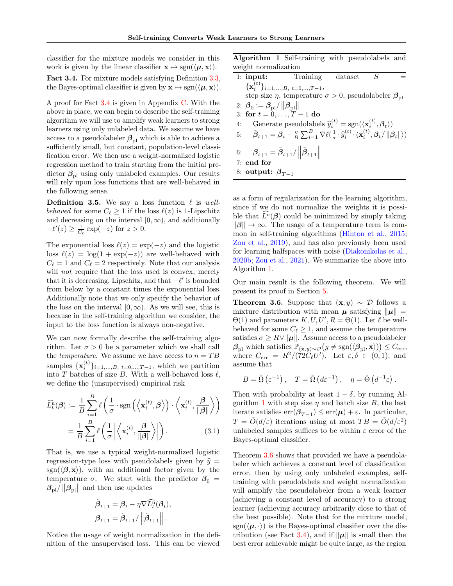classifier for the mixture models we consider in this work is given by the linear classifier  $\mathbf{x} \mapsto \text{sgn}(\langle \boldsymbol{\mu}, \mathbf{x} \rangle)$ .

<span id="page-3-0"></span>Fact 3.4. For mixture models satisfying Definition [3.3,](#page-2-1) the Bayes-optimal classifier is given by  $\mathbf{x} \mapsto \text{sgn}(\langle \mu, \mathbf{x} \rangle)$ .

A proof for Fact [3.4](#page-3-0) is given in Appendix [C.](#page-17-0) With the above in place, we can begin to describe the self-training algorithm we will use to amplify weak learners to strong learners using only unlabeled data. We assume we have access to a pseudolabeler  $\beta_{\text{pl}}$  which is able to achieve a sufficiently small, but constant, population-level classification error. We then use a weight-normalized logistic regression method to train starting from the initial predictor  $\beta_{\text{pl}}$  using only unlabeled examples. Our results will rely upon loss functions that are well-behaved in the following sense.

<span id="page-3-3"></span>**Definition 3.5.** We say a loss function  $\ell$  is wellbehaved for some  $C_{\ell} \geq 1$  if the loss  $\ell(z)$  is 1-Lipschitz and decreasing on the interval  $[0, \infty)$ , and additionally  $-\ell'(z) \ge \frac{1}{C_{\ell}} \exp(-z)$  for  $z > 0$ .

The exponential loss  $\ell(z) = \exp(-z)$  and the logistic loss  $\ell(z) = \log(1 + \exp(-z))$  are well-behaved with  $C_{\ell} = 1$  and  $C_{\ell} = 2$  respectively. Note that our analysis will *not* require that the loss used is convex, merely that it is decreasing, Lipschitz, and that  $-\ell'$  is bounded from below by a constant times the exponential loss. Additionally note that we only specify the behavior of the loss on the interval  $[0, \infty)$ . As we will see, this is because in the self-training algorithm we consider, the input to the loss function is always non-negative.

We can now formally describe the self-training algorithm. Let  $\sigma > 0$  be a parameter which we shall call the *temperature*. We assume we have access to  $n = TB$ samples  $\{\mathbf x_i^{(t)}\}_{i=1,\dots,B, t=0,\dots,T-1}$ , which we partition into T batches of size B. With a well-behaved loss  $\ell$ , we define the (unsupervised) empirical risk

$$
\widehat{L}_t^{\widehat{u}}(\boldsymbol{\beta}) := \frac{1}{B} \sum_{i=1}^B \ell\left(\frac{1}{\sigma} \cdot \text{sgn}\left(\left\langle \mathbf{x}_i^{(t)}, \boldsymbol{\beta} \right\rangle\right) \cdot \left\langle \mathbf{x}_i^{(t)}, \frac{\boldsymbol{\beta}}{\|\boldsymbol{\beta}\|}\right\rangle\right)
$$

$$
= \frac{1}{B} \sum_{i=1}^B \ell\left(\frac{1}{\sigma} \left| \left\langle \mathbf{x}_i^{(t)}, \frac{\boldsymbol{\beta}}{\|\boldsymbol{\beta}\|}\right\rangle \right|\right). \tag{3.1}
$$

That is, we use a typical weight-normalized logistic regression-type loss with pseudolabels given by  $\hat{y} =$ sgn( $\langle \beta, x \rangle$ ), with an additional factor given by the temperature  $\sigma$ . We start with the predictor  $\beta_0 =$  $\beta_{\text{pl}}/\left\|\boldsymbol{\beta}_{\text{pl}}\right\|$  and then use updates

$$
\tilde{\boldsymbol{\beta}}_{t+1} = \boldsymbol{\beta}_t - \eta \nabla \widehat{L}_t^{\mathrm{u}}(\boldsymbol{\beta}_t),
$$

$$
\boldsymbol{\beta}_{t+1} = \tilde{\boldsymbol{\beta}}_{t+1} / \left\| \tilde{\boldsymbol{\beta}}_{t+1} \right\|.
$$

Notice the usage of weight normalization in the definition of the unsupervised loss. This can be viewed Algorithm 1 Self-training with pseudolabels and weight normalization

<span id="page-3-1"></span>

| 1: <b>input:</b> Training dataset $S$                                                                                                                                                                                                                    |                                                                                 |  |  |
|----------------------------------------------------------------------------------------------------------------------------------------------------------------------------------------------------------------------------------------------------------|---------------------------------------------------------------------------------|--|--|
| ${x_i^{(t)}}_{i=1,,B, t=0,,T-1}$                                                                                                                                                                                                                         |                                                                                 |  |  |
|                                                                                                                                                                                                                                                          | step size $\eta$ , temperature $\sigma > 0$ , pseudolabeler $\beta_{\text{pl}}$ |  |  |
| 2: $\beta_0 := \beta_{\rm pl}/\left\ \beta_{\rm nl}\right\ $                                                                                                                                                                                             |                                                                                 |  |  |
| 3: for $t = 0, , T - 1$ do                                                                                                                                                                                                                               |                                                                                 |  |  |
| 4: Generate pseudolabels $\hat{y}_i^{(t)} = \text{sgn}(\langle \mathbf{x}_i^{(t)}, \boldsymbol{\beta}_i \rangle)$                                                                                                                                        |                                                                                 |  |  |
| 5: $\tilde{\boldsymbol{\beta}}_{t+1} = \boldsymbol{\beta}_t - \frac{\eta}{B} \sum_{i=1}^B \nabla \ell \left( \frac{1}{\sigma} \cdot \hat{y}_i^{(t)} \cdot \langle \mathbf{x}_i^{(t)}, \boldsymbol{\beta}_t /    \boldsymbol{\beta}_t    \rangle \right)$ |                                                                                 |  |  |
| 6: $\beta_{t+1} = \tilde{\beta}_{t+1}/\left\  \tilde{\beta}_{t+1} \right\ $                                                                                                                                                                              |                                                                                 |  |  |
| $7:$ end for                                                                                                                                                                                                                                             |                                                                                 |  |  |
| 8: output: $\beta_{T-1}$                                                                                                                                                                                                                                 |                                                                                 |  |  |

as a form of regularization for the learning algorithm, since if we do not normalize the weights it is possible that  $L^{\mathbf{u}}(\boldsymbol{\beta})$  could be minimized by simply taking  $\|\beta\| \to \infty$ . The usage of a temperature term is common in self-training algorithms [\(Hinton et al.,](#page-9-17) [2015;](#page-9-17) [Zou et al.,](#page-9-18) [2019\)](#page-9-18), and has also previously been used for learning halfspaces with noise [\(Diakonikolas et al.,](#page-8-11) [2020b;](#page-8-11) [Zou et al.,](#page-9-16) [2021\)](#page-9-16). We summarize the above into Algorithm [1.](#page-3-1)

Our main result is the following theorem. We will present its proof in Section [5.](#page-4-1)

<span id="page-3-2"></span>**Theorem 3.6.** Suppose that  $(x, y) \sim \mathcal{D}$  follows a mixture distribution with mean  $\mu$  satisfying  $\|\mu\|$  =  $\Theta(1)$  and parameters  $K, U, U', R = \Theta(1)$ . Let  $\ell$  be wellbehaved for some  $C_{\ell} \geq 1$ , and assume the temperature satisfies  $\sigma \geq R \vee ||\mu||$ . Assume access to a pseudolabeler  $\beta_{\text{pl}}$  which satisfies  $\mathbb{P}_{(\mathbf{x},y)\sim\mathcal{D}}(y \neq \text{sgn}(\langle \beta_{\text{pl}}, \mathbf{x} \rangle)) \leq C_{\text{err}},$ where  $C_{\text{err}} = R^2/(\dot{7}2\tilde{C}_{\ell}U')$ . Let  $\varepsilon, \delta \in (0, 1)$ , and assume that

$$
B = \tilde{\Omega} \left( \varepsilon^{-1} \right), \quad T = \tilde{\Omega} \left( d \varepsilon^{-1} \right), \quad \eta = \tilde{\Theta} \left( d^{-1} \varepsilon \right).
$$

Then with probability at least  $1 - \delta$ , by running Al-gorithm [1](#page-3-1) with step size  $\eta$  and batch size B, the last iterate satisfies  $\text{err}(\boldsymbol{\beta}_{T-1}) \leq \text{err}(\boldsymbol{\mu}) + \varepsilon$ . In particular,  $T = \tilde{O}(d/\varepsilon)$  iterations using at most  $TB = \tilde{O}(d/\varepsilon^2)$ unlabeled samples suffices to be within  $\varepsilon$  error of the Bayes-optimal classifier.

Theorem [3.6](#page-3-2) shows that provided we have a pseudolabeler which achieves a constant level of classification error, then by using only unlabeled examples, selftraining with pseudolabels and weight normalization will amplify the pseudolabeler from a weak learner (achieving a constant level of accuracy) to a strong learner (achieving accuracy arbitrarily close to that of the best possible). Note that for the mixture model,  $sgn(\langle \mu, \cdot \rangle)$  is the Bayes-optimal classifier over the dis-tribution (see Fact [3.4\)](#page-3-0), and if  $\|\mu\|$  is small then the best error achievable might be quite large, as the region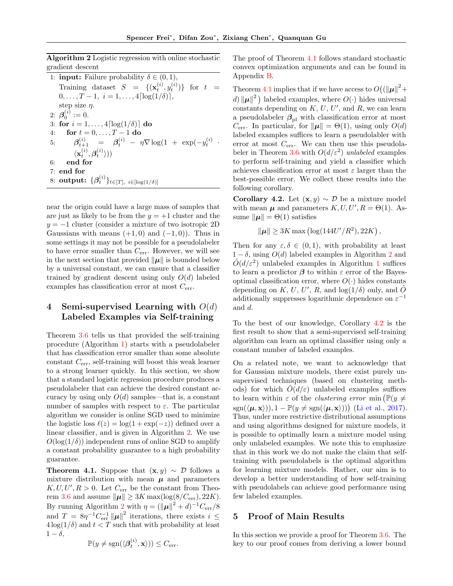Algorithm 2 Logistic regression with online stochastic gradient descent

<span id="page-4-2"></span>1: **input:** Failure probability  $\delta \in (0,1)$ , Training dataset  $S = \{(\mathbf{x}_t^{(i)}, y_t^{(i)})\}$  for  $t =$  $0, \ldots, \tilde{T} - 1, \ i = 1, \ldots, 4 \lceil \log(1/\delta) \rceil,$ step size  $\eta$ . 2:  $\beta_0^{(i)} := 0$ . 3: for  $i = 1, \ldots, 4 \lceil \log(1/\delta) \rceil$  do 4: for  $t = 0, ..., T - 1$  do 5:  $\beta_{t+1}^{(i)} = \beta_t^{(i)} - \eta \nabla \log(1 + \exp(-y_t^{(i)}$  $\langle \mathbf{x}_{t}^{(i)}, \boldsymbol{\beta}_{t}^{(i)}\rangle))$ 6: end for 7: end for 8:  $\textbf{output:} \; \{\boldsymbol{\beta}^{(i)}_t\}_{t \in [T], \; i \in [\log(1/\delta)]}$ 

near the origin could have a large mass of samples that are just as likely to be from the  $y = +1$  cluster and the  $y = -1$  cluster (consider a mixture of two isotropic 2D) Gaussians with means  $(+1,0)$  and  $(-1,0)$ ). Thus in some settings it may not be possible for a pseudolabeler to have error smaller than  $C_{\text{err}}$ . However, we will see in the next section that provided  $\|\mu\|$  is bounded below by a universal constant, we can ensure that a classifier trained by gradient descent using only  $O(d)$  labeled examples has classification error at most Cerr.

# <span id="page-4-0"></span>4 Semi-supervised Learning with  $O(d)$ Labeled Examples via Self-training

Theorem [3.6](#page-3-2) tells us that provided the self-training procedure (Algorithm [1\)](#page-3-1) starts with a pseudolabeler that has classification error smaller than some absolute constant  $C_{\text{err}}$ , self-training will boost this weak learner to a strong learner quickly. In this section, we show that a standard logistic regression procedure produces a pseudolabeler that can achieve the desired constant accuracy by using only  $O(d)$  samples—that is, a constant number of samples with respect to  $\varepsilon$ . The particular algorithm we consider is online SGD used to minimize the logistic loss  $\ell(z) = \log(1 + \exp(-z))$  defined over a linear classifier, and is given in Algorithm [2.](#page-4-2) We use  $O(\log(1/\delta))$  independent runs of online SGD to amplify a constant probability guarantee to a high probability guarantee.

<span id="page-4-3"></span>**Theorem 4.1.** Suppose that  $(x, y) \sim \mathcal{D}$  follows a mixture distribution with mean  $\mu$  and parameters  $K, U, U', R > 0$ . Let  $C_{\text{err}}$  be the constant from Theo-rem [3.6](#page-3-2) and assume  $\|\mu\| \geq 3K \max(\log(8/C_{\text{err}}), 22K).$ By running Algorithm [2](#page-4-2) with  $\eta = (\|\boldsymbol{\mu}\|^2 + d)^{-1}C_{\text{err}}/8$ and  $T = 8\eta^{-1}C_{\text{err}}^{-1} \|\boldsymbol{\mu}\|^2$  iterations, there exists  $i \leq$  $4\log(1/\delta)$  and  $t < T$  such that with probability at least  $1 - \delta$ ,

$$
\mathbb{P}(y \neq \text{sgn}(\langle \boldsymbol{\beta}_t^{(i)}, \mathbf{x} \rangle)) \leq C_{\text{err}}.
$$

The proof of Theorem [4.1](#page-4-3) follows standard stochastic convex optimization arguments and can be found in Appendix [B.](#page-14-0)

Theorem [4.1](#page-4-3) implies that if we have access to  $O((\|\boldsymbol{\mu}\|^2 +$ d)  $\|\mu\|^2$ ) labeled examples, where  $O(\cdot)$  hides universal constants depending on  $K, U, U'$ , and  $R$ , we can learn a pseudolabeler  $\beta_{\text{pl}}$  with classification error at most  $C_{\text{err}}$ . In particular, for  $\|\mu\| = \Theta(1)$ , using only  $O(d)$ labeled examples suffices to learn a pseudolabler with error at most  $C_{\text{err}}$ . We can then use this pseudola-beler in Theorem [3.6](#page-3-2) with  $O(d/\varepsilon^2)$  unlabeled examples to perform self-training and yield a classifier which achieves classification error at most  $\varepsilon$  larger than the best-possible error. We collect these results into the following corollary.

<span id="page-4-4"></span>Corollary 4.2. Let  $(\mathbf{x}, y) \sim \mathcal{D}$  be a mixture model with mean  $\mu$  and parameters  $K, U, U', R = \Theta(1)$ . Assume  $\|\mu\| = \Theta(1)$  satisfies

$$
\|\mu\| \ge 3K \max\left(\log(144U'/R^2), 22K\right),\
$$

Then for any  $\varepsilon, \delta \in (0, 1)$ , with probability at least  $1 - \delta$ , using  $O(d)$  labeled examples in Algorithm [2](#page-4-2) and  $\tilde{O}(d/\varepsilon^2)$  unlabeled examples in Algorithm [1](#page-3-1) suffices to learn a predictor  $\beta$  to within  $\varepsilon$  error of the Bayesoptimal classification error, where  $O(\cdot)$  hides constants depending on K, U, U', R, and  $log(1/\delta)$  only, and  $\tilde{O}$ additionally suppresses logarithmic dependence on  $\varepsilon^{-1}$ and d.

To the best of our knowledge, Corollary [4.2](#page-4-4) is the first result to show that a semi-supervised self-training algorithm can learn an optimal classifier using only a constant number of labeled examples.

On a related note, we want to acknowledge that for Gaussian mixture models, there exist purely unsupervised techniques (based on clustering methods) for which  $O(d/\varepsilon)$  unlabeled examples suffices to learn within  $\varepsilon$  of the *clustering error* min ( $\mathbb{P}(y \neq 0)$  $sgn(\langle \mu, \mathbf{x} \rangle), 1 - \mathbb{P}(y \neq sgn(\langle \mu, \mathbf{x} \rangle))$  [\(Li et al.,](#page-9-19) [2017\)](#page-9-19). Thus, under more restrictive distributional assumptions and using algorithms designed for mixture models, it is possible to optimally learn a mixture model using only unlabeled examples. We note this to emphasize that in this work we do not make the claim that selftraining with pseudolabels is the optimal algorithm for learning mixture models. Rather, our aim is to develop a better understanding of how self-training with pseudolabels can achieve good performance using few labeled examples.

#### <span id="page-4-1"></span>5 Proof of Main Results

In this section we provide a proof for Theorem [3.6.](#page-3-2) The key to our proof comes from deriving a lower bound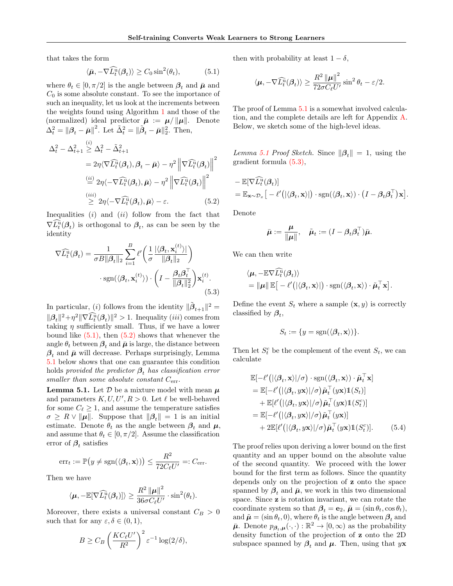that takes the form

<span id="page-5-0"></span>
$$
\langle \bar{\boldsymbol{\mu}}, -\nabla \widehat{L}_t^{\mathbf{u}}(\boldsymbol{\beta}_t) \rangle \ge C_0 \sin^2(\theta_t), \tag{5.1}
$$

where  $\theta_t \in [0, \pi/2]$  is the angle between  $\beta_t$  and  $\bar{\mu}$  and  $C_0$  is some absolute constant. To see the importance of such an inequality, let us look at the increments between the weights found using Algorithm [1](#page-3-1) and those of the (normalized) ideal predictor  $\bar{\mu} := \mu / ||\mu||$ . Denote  $\Delta_t^2 = {\|\boldsymbol{\beta}_t - \bar{\boldsymbol{\mu}}\|^2}$ . Let  $\tilde{\Delta}_t^2 = {\|\tilde{\boldsymbol{\beta}}_t - \bar{\boldsymbol{\mu}}\|_2^2}$ . Then,

$$
\Delta_t^2 - \Delta_{t+1}^2 \stackrel{(i)}{\geq} \Delta_t^2 - \tilde{\Delta}_{t+1}^2
$$
  
=  $2\eta \langle \nabla \widehat{L}_t^{\mathbf{u}}(\mathcal{B}_t), \mathcal{B}_t - \bar{\boldsymbol{\mu}} \rangle - \eta^2 \left\| \nabla \widehat{L}_t^{\mathbf{u}}(\mathcal{B}_t) \right\|^2$   

$$
\stackrel{(ii)}{=} 2\eta \langle -\nabla \widehat{L}_t^{\mathbf{u}}(\mathcal{B}_t), \bar{\boldsymbol{\mu}} \rangle - \eta^2 \left\| \nabla \widehat{L}_t^{\mathbf{u}}(\mathcal{B}_t) \right\|^2
$$
  

$$
\stackrel{(iii)}{\geq} 2\eta \langle -\nabla \widehat{L}_t^{\mathbf{u}}(\mathcal{B}_t), \bar{\boldsymbol{\mu}} \rangle - \varepsilon.
$$
 (5.2)

Inequalities  $(i)$  and  $(ii)$  follow from the fact that  $\nabla \tilde{L}_t^{\tilde{u}}(\boldsymbol{\beta}_t)$  is orthogonal to  $\boldsymbol{\beta}_t$ , as can be seen by the identity

$$
\nabla \widehat{L}_t^{\mathrm{u}}(\beta_t) = \frac{1}{\sigma B \|\beta_t\|_2} \sum_{i=1}^B \ell' \left( \frac{1}{\sigma} \frac{|\langle \beta_t, \mathbf{x}_i^{(t)} \rangle|}{\|\beta_t\|_2} \right) \cdot \operatorname{sgn}(\langle \beta_t, \mathbf{x}_i^{(t)} \rangle) \cdot \left( I - \frac{\beta_t \beta_t^{\top}}{\|\beta_t\|_2^2} \right) \mathbf{x}_i^{(t)}.\tag{5.3}
$$

In particular, (*i*) follows from the identity  $\|\tilde{\boldsymbol{\beta}}_{t+1}\|^2 =$  $\|\boldsymbol{\beta}_t\|^2 + \eta^2 \|\nabla \tilde{L}_t^{\tilde{u}}(\boldsymbol{\beta}_t)\|^2 > 1.$  Inequality (*iii*) comes from taking  $\eta$  sufficiently small. Thus, if we have a lower bound like  $(5.1)$ , then  $(5.2)$  shows that whenever the angle  $\theta_t$  between  $\beta_t$  and  $\bar{\mu}$  is large, the distance between  $\beta_t$  and  $\bar{\mu}$  will decrease. Perhaps surprisingly, Lemma [5.1](#page-5-2) below shows that one can guarantee this condition holds provided the predictor  $\beta_t$  has classification error smaller than some absolute constant  $C_{\text{err}}$ .

<span id="page-5-2"></span>**Lemma 5.1.** Let  $\mathcal{D}$  be a mixture model with mean  $\mu$ and parameters  $K, U, U', R > 0$ . Let  $\ell$  be well-behaved for some  $C_{\ell} \geq 1$ , and assume the temperature satisfies  $\sigma \geq R \vee ||\mu||$ . Suppose that  $||\beta_t|| = 1$  is an initial estimate. Denote  $\theta_t$  as the angle between  $\beta_t$  and  $\mu$ , and assume that  $\theta_t \in [0, \pi/2]$ . Assume the classification error of  $\beta_t$  satisfies

<span id="page-5-4"></span>
$$
\mathrm{err}_t := \mathbb{P}\big(y \neq \mathrm{sgn}(\langle \beta_t, \mathbf{x} \rangle)\big) \leq \frac{R^2}{72C_{\ell}U'} =: C_{\mathrm{err}}.
$$

Then we have

$$
\langle \boldsymbol{\mu}, -\mathbb{E}[\nabla \widehat{L}_t^{\mathrm{u}}(\boldsymbol{\beta}_t)] \rangle \geq \frac{R^2 \left\| \boldsymbol{\mu} \right\|^2}{36 \sigma C_{\ell} U'} \cdot \sin^2(\theta_t).
$$

Moreover, there exists a universal constant  $C_B > 0$ such that for any  $\varepsilon, \delta \in (0, 1)$ ,

$$
B \geq C_B \left(\frac{KC_{\ell}U'}{R^2}\right)^2 \varepsilon^{-1}\log(2/\delta),
$$

then with probability at least  $1 - \delta$ ,

$$
\langle \boldsymbol{\mu}, -\nabla \widehat{L}_t^{\widehat{\mathbf{u}}}(\boldsymbol{\beta}_t) \rangle \ge \frac{R^2 \left\| \boldsymbol{\mu} \right\|^2}{72\sigma C_{\ell}U'} \sin^2 \theta_t - \varepsilon/2.
$$

The proof of Lemma [5.1](#page-5-2) is a somewhat involved calculation, and the complete details are left for Appendix [A.](#page-10-0) Below, we sketch some of the high-level ideas.

Lemma [5.1](#page-5-2) Proof Sketch. Since  $\|\beta_t\| = 1$ , using the gradient formula [\(5.3\),](#page-5-3)

$$
- \mathbb{E}[\nabla \widehat{L}_t^{\mathrm{u}}(\boldsymbol{\beta}_t)] = \mathbb{E}_{\mathbf{x}\sim\mathcal{D}_x} \big[ -\ell'(|\langle \boldsymbol{\beta}_t, \mathbf{x} \rangle|) \cdot \mathrm{sgn}(\langle \boldsymbol{\beta}_t, \mathbf{x} \rangle) \cdot \left(I - \boldsymbol{\beta}_t \boldsymbol{\beta}_t^{\top}\right) \mathbf{x} \big].
$$

<span id="page-5-1"></span>Denote

$$
\bar{\boldsymbol{\mu}} := \frac{\boldsymbol{\mu}}{\|\boldsymbol{\mu}\|}, \quad \tilde{\boldsymbol{\mu}}_t := (I - \boldsymbol{\beta}_t \boldsymbol{\beta}_t^\top) \bar{\boldsymbol{\mu}}.
$$

We can then write

$$
\langle \boldsymbol{\mu}, -\mathbb{E}\nabla \widehat{L_t^{\mathrm{u}}}(\boldsymbol{\beta}_t) \rangle = \|\boldsymbol{\mu}\| \,\mathbb{E} \big[ -\ell' \big( |\langle \boldsymbol{\beta}_t, \mathbf{x} \rangle| \big) \cdot \mathrm{sgn}(\langle \boldsymbol{\beta}_t, \mathbf{x} \rangle) \cdot \tilde{\boldsymbol{\mu}}_t^\top \mathbf{x} \big].
$$

<span id="page-5-3"></span>Define the event  $S_t$  where a sample  $(\mathbf{x}, y)$  is correctly classified by  $\beta_t$ ,

$$
S_t := \{ y = \text{sgn}(\langle \beta_t, \mathbf{x} \rangle) \}.
$$

Then let  $S_t^c$  be the complement of the event  $S_t$ , we can calculate

$$
\mathbb{E}[-\ell'(|\langle \beta_t, \mathbf{x} \rangle| / \sigma) \cdot \text{sgn}(\langle \beta_t, \mathbf{x} \rangle) \cdot \tilde{\boldsymbol{\mu}}_t^{\top} \mathbf{x}] \n= \mathbb{E}[-\ell'(|\langle \beta_t, y\mathbf{x} \rangle| / \sigma) \tilde{\boldsymbol{\mu}}_t^{\top} (y\mathbf{x}) \mathbb{1}(S_t)] \n+ \mathbb{E}[\ell'(|\langle \beta_t, y\mathbf{x} \rangle| / \sigma) \tilde{\boldsymbol{\mu}}_t^{\top} (y\mathbf{x}) \mathbb{1}(S_t^c)] \n= \mathbb{E}[-\ell'(|\langle \beta_t, y\mathbf{x} \rangle| / \sigma) \tilde{\boldsymbol{\mu}}_t^{\top} (y\mathbf{x})] \n+ 2\mathbb{E}[\ell'(|\langle \beta_t, y\mathbf{x} \rangle| / \sigma) \tilde{\boldsymbol{\mu}}_t^{\top} (y\mathbf{x}) \mathbb{1}(S_t^c)]. \n(5.4)
$$

The proof relies upon deriving a lower bound on the first quantity and an upper bound on the absolute value of the second quantity. We proceed with the lower bound for the first term as follows. Since the quantity depends only on the projection of z onto the space spanned by  $\beta_t$  and  $\bar{\mu}$ , we work in this two dimensional space. Since z is rotation invariant, we can rotate the coordinate system so that  $\beta_t = \mathbf{e}_2$ ,  $\bar{\boldsymbol{\mu}} = (\sin \theta_t, \cos \theta_t)$ , and  $\tilde{\boldsymbol{\mu}} = (\sin \theta_t, 0)$ , where  $\theta_t$  is the angle between  $\beta_t$  and  $\bar{\mu}$ . Denote  $p_{\beta_t,\mu}(\cdot,\cdot): \mathbb{R}^2 \to [0,\infty)$  as the probability density function of the projection of z onto the 2D subspace spanned by  $\beta_t$  and  $\mu$ . Then, using that yx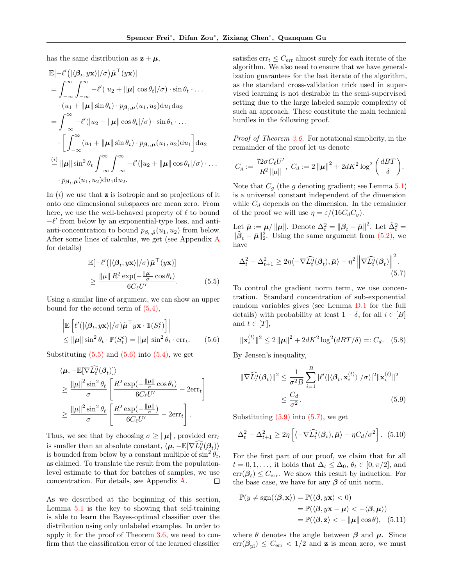has the same distribution as  $z + \mu$ .

$$
\mathbb{E}[-\ell'(|\langle \beta_t, y\mathbf{x}\rangle|/\sigma)\tilde{\boldsymbol{\mu}}^\top(y\mathbf{x})] \n= \int_{-\infty}^{\infty} \int_{-\infty}^{\infty} -\ell'(|u_2 + \|\boldsymbol{\mu}\| \cos \theta_t |/\sigma) \cdot \sin \theta_t \cdot ... \n\cdot (u_1 + \|\boldsymbol{\mu}\| \sin \theta_t) \cdot p_{\beta_t, \tilde{\boldsymbol{\mu}}}(u_1, u_2) du_1 du_2 \n= \int_{-\infty}^{\infty} -\ell'(|u_2 + \|\boldsymbol{\mu}\| \cos \theta_t |/\sigma) \cdot \sin \theta_t \cdot ... \n\cdot \left[ \int_{-\infty}^{\infty} (u_1 + \|\boldsymbol{\mu}\| \sin \theta_t) \cdot p_{\beta_t, \tilde{\boldsymbol{\mu}}}(u_1, u_2) du_1 \right] du_2 \n\frac{\langle i \rangle}{\equiv} \|\boldsymbol{\mu}\| \sin^2 \theta_t \int_{-\infty}^{\infty} \int_{-\infty}^{\infty} -\ell'(|u_2 + \|\boldsymbol{\mu}\| \cos \theta_t |/\sigma) \cdot ... \n\cdot p_{\beta_t, \tilde{\boldsymbol{\mu}}}(u_1, u_2) du_1 du_2.
$$

In  $(i)$  we use that **z** is isotropic and so projections of it onto one dimensional subspaces are mean zero. From here, we use the well-behaved property of  $\ell$  to bound  $-\ell'$  from below by an exponential-type loss, and antianti-concentration to bound  $p_{\beta_t,\bar{\mu}}(u_1, u_2)$  from below. After some lines of calculus, we get (see Appendix [A](#page-10-0) for details)

$$
\mathbb{E}[-\ell'(|\langle \beta_t, y\mathbf{x}\rangle|/\sigma)\tilde{\boldsymbol{\mu}}^{\top}(y\mathbf{x})] \geq \frac{\|\boldsymbol{\mu}\| \, R^2 \exp(-\frac{\|\boldsymbol{\mu}\|}{\sigma} \cos \theta_t)}{6C_{\ell}U'}.
$$
\n(5.5)

Using a similar line of argument, we can show an upper bound for the second term of [\(5.4\),](#page-5-4)

$$
\begin{aligned} &\left| \mathbb{E} \left[ \ell'(|\langle \beta_t, y\mathbf{x} \rangle | / \sigma) \tilde{\boldsymbol{\mu}}^\top y\mathbf{x} \cdot \mathbb{1}(S_t^c) \right] \right| \\ &\leq \|\boldsymbol{\mu}\| \sin^2 \theta_t \cdot \mathbb{P}(S_t^c) = \|\boldsymbol{\mu}\| \sin^2 \theta_t \cdot \text{err}_t. \end{aligned} \tag{5.6}
$$

Substituting  $(5.5)$  and  $(5.6)$  into  $(5.4)$ , we get

$$
\langle \mu, -\mathbb{E}[\nabla \widehat{L}_t^{\mathrm{u}}(\beta_t)] \rangle
$$
  
\n
$$
\geq \frac{\|\mu\|^2 \sin^2 \theta_t}{\sigma} \left[ \frac{R^2 \exp(-\frac{\|\mu\|}{\sigma} \cos \theta_t)}{6C_{\ell}U'} - 2 \text{err}_t \right]
$$
  
\n
$$
\geq \frac{\|\mu\|^2 \sin^2 \theta_t}{\sigma} \left[ \frac{R^2 \exp(-\frac{\|\mu\|}{\sigma})}{6C_{\ell}U'} - 2 \text{err}_t \right].
$$

Thus, we see that by choosing  $\sigma \ge ||\mu||$ , provided err<sub>t</sub> is smaller than an absolute constant,  $\langle \mu, -\mathbb{E}[\nabla \widehat{L_t^u}(\beta_t)] \rangle$ is bounded from below by a constant multiple of  $\sin^2 \theta_t$ , as claimed. To translate the result from the populationlevel estimate to that for batches of samples, we use concentration. For details, see Appendix [A.](#page-10-0)  $\Box$ 

As we described at the beginning of this section, Lemma [5.1](#page-5-2) is the key to showing that self-training is able to learn the Bayes-optimal classifier over the distribution using only unlabeled examples. In order to apply it for the proof of Theorem [3.6,](#page-3-2) we need to confirm that the classification error of the learned classifier satisfies  $err_t \leq C_{err}$  almost surely for each iterate of the algorithm. We also need to ensure that we have generalization guarantees for the last iterate of the algorithm, as the standard cross-validation trick used in supervised learning is not desirable in the semi-supervised setting due to the large labeled sample complexity of such an approach. These constitute the main technical hurdles in the following proof.

Proof of Theorem [3.6.](#page-3-2) For notational simplicity, in the remainder of the proof let us denote

<span id="page-6-3"></span>
$$
C_g := \frac{72\sigma C_{\ell}U'}{R^2 \|\mu\|}, \ C_d := 2 \|\mu\|^2 + 2dK^2 \log^2\left(\frac{dBT}{\delta}\right).
$$

Note that  $C_g$  (the g denoting gradient; see Lemma [5.1\)](#page-5-2) is a universal constant independent of the dimension while  $C_d$  depends on the dimension. In the remainder of the proof we will use  $\eta = \varepsilon/(16C_dC_q)$ .

Let  $\bar{\mu} := \mu / \|\mu\|$ . Denote  $\Delta_t^2 = \|\beta_t - \bar{\mu}\|^2$ . Let  $\tilde{\Delta}_t^2 =$  $\|\tilde{\boldsymbol{\beta}}_t - \bar{\boldsymbol{\mu}}\|_2^2$ . Using the same argument from [\(5.2\),](#page-5-1) we have

$$
\Delta_t^2 - \Delta_{t+1}^2 \ge 2\eta \langle -\nabla \widehat{L}_t^{\widehat{u}}(\beta_t), \bar{\mu} \rangle - \eta^2 \left\| \nabla \widehat{L}_t^{\widehat{u}}(\beta_t) \right\|^2.
$$
\n(5.7)

<span id="page-6-0"></span>To control the gradient norm term, we use concentration. Standard concentration of sub-exponential random variables gives (see Lemma [D.1](#page-17-1) for the full details) with probability at least  $1 - \delta$ , for all  $i \in [B]$ and  $t \in [T]$ ,

<span id="page-6-1"></span>
$$
\|\mathbf{x}_{i}^{(t)}\|^{2} \le 2\|\boldsymbol{\mu}\|^{2} + 2dK^{2}\log^{2}(dBT/\delta) =: C_{d}.\quad(5.8)
$$

By Jensen's inequality,

<span id="page-6-2"></span>
$$
\|\nabla \widehat{L_t^u}(\boldsymbol{\beta}_t)\|^2 \leq \frac{1}{\sigma^2 B} \sum_{i=1}^B |\ell'(|\langle \boldsymbol{\beta}_t, \mathbf{x}_i^{(t)} \rangle| / \sigma)|^2 \|\mathbf{x}_i^{(t)}\|^2
$$
  

$$
\leq \frac{C_d}{\sigma^2}.
$$
 (5.9)

Substituting  $(5.9)$  into  $(5.7)$ , we get

<span id="page-6-4"></span>
$$
\Delta_t^2 - \Delta_{t+1}^2 \ge 2\eta \left[ \langle -\nabla \widehat{L}_t^{\mathbf{u}}(\boldsymbol{\beta}_t), \bar{\boldsymbol{\mu}} \rangle - \eta C_d / \sigma^2 \right]. \tag{5.10}
$$

For the first part of our proof, we claim that for all  $t = 0, 1, \ldots$ , it holds that  $\Delta_t \leq \Delta_0, \theta_t \in [0, \pi/2]$ , and  $err(\mathcal{B}_t) \leq C_{err}$ . We show this result by induction. For the base case, we have for any  $\beta$  of unit norm,

<span id="page-6-5"></span>
$$
\mathbb{P}(y \neq \text{sgn}(\langle \boldsymbol{\beta}, \mathbf{x} \rangle) = \mathbb{P}(\langle \boldsymbol{\beta}, y\mathbf{x} \rangle < 0) \n= \mathbb{P}(\langle \boldsymbol{\beta}, y\mathbf{x} - \boldsymbol{\mu} \rangle < -\langle \boldsymbol{\beta}, \boldsymbol{\mu} \rangle) \n= \mathbb{P}(\langle \boldsymbol{\beta}, \mathbf{z} \rangle < - \|\boldsymbol{\mu}\| \cos \theta), \quad (5.11)
$$

where  $\theta$  denotes the angle between  $\beta$  and  $\mu$ . Since  $err(\boldsymbol{\beta}_{\text{pl}}) \leq C_{\text{err}} < 1/2$  and **z** is mean zero, we must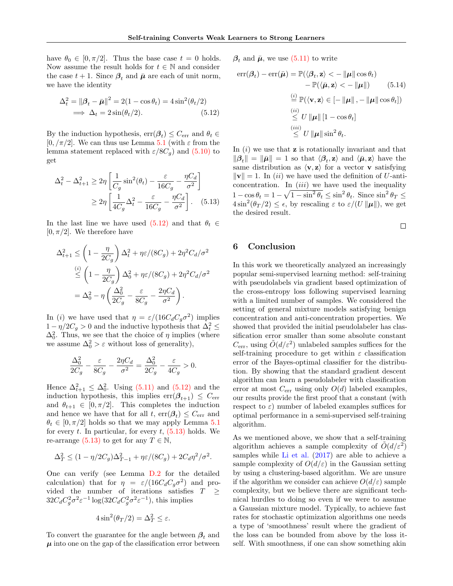have  $\theta_0 \in [0, \pi/2]$ . Thus the base case  $t = 0$  holds. Now assume the result holds for  $t \in \mathbb{N}$  and consider the case  $t + 1$ . Since  $\beta_t$  and  $\bar{\mu}$  are each of unit norm, we have the identity

$$
\Delta_t^2 = ||\boldsymbol{\beta}_t - \bar{\boldsymbol{\mu}}||^2 = 2(1 - \cos \theta_t) = 4\sin^2(\theta_t/2)
$$
  
\n
$$
\implies \Delta_t = 2\sin(\theta_t/2). \tag{5.12}
$$

By the induction hypothesis,  $\text{err}(\beta_t) \leq C_{\text{err}}$  and  $\theta_t \in$  $[0, \pi/2]$ . We can thus use Lemma [5.1](#page-5-2) (with  $\varepsilon$  from the lemma statement replaced with  $\varepsilon/8C_q$ ) and [\(5.10\)](#page-6-4) to get

$$
\Delta_t^2 - \Delta_{t+1}^2 \ge 2\eta \left[ \frac{1}{C_g} \sin^2(\theta_t) - \frac{\varepsilon}{16C_g} - \frac{\eta C_d}{\sigma^2} \right]
$$

$$
\ge 2\eta \left[ \frac{1}{4C_g} \Delta_t^2 - \frac{\varepsilon}{16C_g} - \frac{\eta C_d}{\sigma^2} \right].
$$
 (5.13)

In the last line we have used  $(5.12)$  and that  $\theta_t \in$  $[0, \pi/2]$ . We therefore have

$$
\Delta_{t+1}^2 \le \left(1 - \frac{\eta}{2C_g}\right) \Delta_t^2 + \eta \varepsilon / (8C_g) + 2\eta^2 C_d / \sigma^2
$$
  

$$
\stackrel{(i)}{\le} \left(1 - \frac{\eta}{2C_g}\right) \Delta_0^2 + \eta \varepsilon / (8C_g) + 2\eta^2 C_d / \sigma^2
$$
  

$$
= \Delta_0^2 - \eta \left(\frac{\Delta_0^2}{2C_g} - \frac{\varepsilon}{8C_g} - \frac{2\eta C_d}{\sigma^2}\right).
$$

In (i) we have used that  $\eta = \varepsilon/(16C_dC_g\sigma^2)$  implies  $1 - \eta/2C_g > 0$  and the inductive hypothesis that  $\Delta_t^2 \leq$  $\Delta_0^2$ . Thus, we see that the choice of  $\eta$  implies (where we assume  $\Delta_0^2 > \varepsilon$  without loss of generality),

$$
\frac{\Delta_0^2}{2C_g}-\frac{\varepsilon}{8C_g}-\frac{2\eta C_d}{\sigma^2}=\frac{\Delta_0^2}{2C_g}-\frac{\varepsilon}{4C_g}>0.
$$

Hence  $\Delta_{t+1}^2 \leq \Delta_0^2$ . Using [\(5.11\)](#page-6-5) and [\(5.12\)](#page-7-1) and the induction hypothesis, this implies  $err(\beta_{t+1}) \leq C_{err}$ and  $\theta_{t+1} \in [0, \pi/2]$ . This completes the induction and hence we have that for all  $t$ ,  $err(\mathcal{B}_t) \leq C_{err}$  and  $\theta_t \in [0, \pi/2]$  holds so that we may apply Lemma [5.1](#page-5-2) for every t. In particular, for every  $t$ ,  $(5.13)$  holds. We re-arrange [\(5.13\)](#page-7-2) to get for any  $T \in \mathbb{N}$ ,

$$
\Delta_T^2 \le (1 - \eta/2C_g)\Delta_{T-1}^2 + \eta \varepsilon/(8C_g) + 2C_d \eta^2/\sigma^2.
$$

One can verify (see Lemma [D.2](#page-18-0) for the detailed calculation) that for  $\eta = \varepsilon/(16C_dC_g\sigma^2)$  and provided the number of iterations satisfies  $T \geq$  $32C_dC_g^2\sigma^2\varepsilon^{-1}\log(32C_dC_g^2\sigma^2\varepsilon^{-1}),$  this implies

$$
4\sin^2(\theta_T/2) = \Delta_T^2 \le \varepsilon.
$$

To convert the guarantee for the angle between  $\beta_t$  and  $\mu$  into one on the gap of the classification error between

 $\beta_t$  and  $\bar{\mu}$ , we use [\(5.11\)](#page-6-5) to write

<span id="page-7-1"></span>
$$
\text{err}(\boldsymbol{\beta}_{t}) - \text{err}(\bar{\boldsymbol{\mu}}) = \mathbb{P}(\langle \boldsymbol{\beta}_{t}, \mathbf{z} \rangle < -\|\boldsymbol{\mu}\| \cos \theta_{t})
$$
  

$$
- \mathbb{P}(\langle \bar{\boldsymbol{\mu}}, \mathbf{z} \rangle < -\|\boldsymbol{\mu}\|) \qquad (5.14)
$$
  

$$
\stackrel{(i)}{=} \mathbb{P}(\langle \mathbf{v}, \mathbf{z} \rangle \in [-\|\boldsymbol{\mu}\|, -\|\boldsymbol{\mu}\| \cos \theta_{t}])
$$
  

$$
\stackrel{(ii)}{\leq} U \|\boldsymbol{\mu}\| [1 - \cos \theta_{t}]
$$
  

$$
\stackrel{(iii)}{\leq} U \|\boldsymbol{\mu}\| \sin^{2} \theta_{t}.
$$

<span id="page-7-2"></span>In  $(i)$  we use that **z** is rotationally invariant and that  $\|\boldsymbol{\beta}_t\| = \|\bar{\boldsymbol{\mu}}\| = 1$  so that  $\langle \boldsymbol{\beta}_t, \mathbf{z} \rangle$  and  $\langle \bar{\boldsymbol{\mu}}, \mathbf{z} \rangle$  have the same distribution as  $\langle v, z \rangle$  for a vector v satisfying  $\|\mathbf{v}\| = 1$ . In *(ii)* we have used the definition of U-anticoncentration. In  $(iii)$  we have used the inequality  $1 - \cos \theta_t = 1 - \sqrt{1 - \sin^2 \theta_t} \le \sin^2 \theta_t$ . Since  $\sin^2 \theta_T \le$  $4\sin^2(\theta_T/2) \leq \epsilon$ , by rescaling  $\varepsilon$  to  $\varepsilon/(U \|\boldsymbol{\mu}\|)$ , we get the desired result.

 $\Box$ 

## <span id="page-7-0"></span>6 Conclusion

In this work we theoretically analyzed an increasingly popular semi-supervised learning method: self-training with pseudolabels via gradient based optimization of the cross-entropy loss following supervised learning with a limited number of samples. We considered the setting of general mixture models satisfying benign concentration and anti-concentration properties. We showed that provided the initial pseudolabeler has classification error smaller than some absolute constant  $C_{\text{err}}$ , using  $\tilde{O}(d/\varepsilon^2)$  unlabeled samples suffices for the self-training procedure to get within  $\varepsilon$  classification error of the Bayes-optimal classifier for the distribution. By showing that the standard gradient descent algorithm can learn a pseudolabeler with classification error at most  $C_{\text{err}}$  using only  $O(d)$  labeled examples, our results provide the first proof that a constant (with respect to  $\varepsilon$ ) number of labeled examples suffices for optimal performance in a semi-supervised self-training algorithm.

As we mentioned above, we show that a self-training algorithm achieves a sample complexity of  $\tilde{O}(d/\varepsilon^2)$ samples while [Li et al.](#page-9-19) [\(2017\)](#page-9-19) are able to achieve a sample complexity of  $O(d/\varepsilon)$  in the Gaussian setting by using a clustering-based algorithm. We are unsure if the algorithm we consider can achieve  $O(d/\varepsilon)$  sample complexity, but we believe there are significant technical hurdles to doing so even if we were to assume a Gaussian mixture model. Typically, to achieve fast rates for stochastic optimization algorithms one needs a type of 'smoothness' result where the gradient of the loss can be bounded from above by the loss itself. With smoothness, if one can show something akin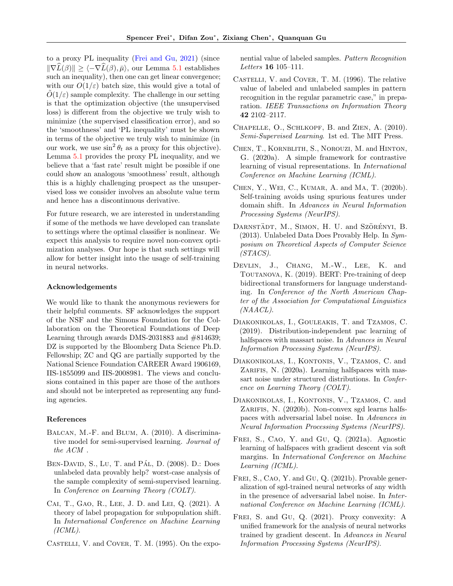to a proxy PL inequality [\(Frei and Gu,](#page-8-15) [2021\)](#page-8-15) (since  $\|\nabla \widehat{L}(\beta)\| \geq \langle -\nabla \widehat{L}(\beta), \overline{\mu} \rangle$ , our Lemma [5.1](#page-5-2) establishes such an inequality), then one can get linear convergence; with our  $O(1/\varepsilon)$  batch size, this would give a total of  $O(1/\varepsilon)$  sample complexity. The challenge in our setting is that the optimization objective (the unsupervised loss) is different from the objective we truly wish to minimize (the supervised classification error), and so the 'smoothness' and 'PL inequality' must be shown in terms of the objective we truly wish to minimize (in our work, we use  $\sin^2 \theta_t$  as a proxy for this objective). Lemma [5.1](#page-5-2) provides the proxy PL inequality, and we believe that a 'fast rate' result might be possible if one could show an analogous 'smoothness' result, although this is a highly challenging prospect as the unsupervised loss we consider involves an absolute value term and hence has a discontinuous derivative.

For future research, we are interested in understanding if some of the methods we have developed can translate to settings where the optimal classifier is nonlinear. We expect this analysis to require novel non-convex optimization analyses. Our hope is that such settings will allow for better insight into the usage of self-training in neural networks.

#### Acknowledgements

We would like to thank the anonymous reviewers for their helpful comments. SF acknowledges the support of the NSF and the Simons Foundation for the Collaboration on the Theoretical Foundations of Deep Learning through awards DMS-2031883 and #814639; DZ is supported by the Bloomberg Data Science Ph.D. Fellowship; ZC and QG are partially supported by the National Science Foundation CAREER Award 1906169, IIS-1855099 and IIS-2008981. The views and conclusions contained in this paper are those of the authors and should not be interpreted as representing any funding agencies.

#### References

- <span id="page-8-5"></span>Balcan, M.-F. and Blum, A. (2010). A discriminative model for semi-supervised learning. Journal of the ACM .
- <span id="page-8-4"></span>BEN-DAVID, S., LU, T. and PÁL, D. (2008). D.: Does unlabeled data provably help? worst-case analysis of the sample complexity of semi-supervised learning. In Conference on Learning Theory (COLT).
- <span id="page-8-8"></span>Cai, T., Gao, R., Lee, J. D. and Lei, Q. (2021). A theory of label propagation for subpopulation shift. In International Conference on Machine Learning  $(ICML).$
- <span id="page-8-2"></span>CASTELLI, V. and COVER, T. M. (1995). On the expo-

nential value of labeled samples. Pattern Recognition Letters 16 105–111.

- <span id="page-8-3"></span>Castelli, V. and Cover, T. M. (1996). The relative value of labeled and unlabeled samples in pattern recognition in the regular parametric case," in preparation. IEEE Transactions on Information Theory 42 2102–2117.
- <span id="page-8-7"></span>Chapelle, O., Schlkopf, B. and Zien, A. (2010). Semi-Supervised Learning. 1st ed. The MIT Press.
- <span id="page-8-1"></span>Chen, T., Kornblith, S., Norouzi, M. and Hinton, G. (2020a). A simple framework for contrastive learning of visual representations. In International Conference on Machine Learning (ICML).
- <span id="page-8-9"></span>Chen, Y., Wei, C., Kumar, A. and Ma, T. (2020b). Self-training avoids using spurious features under domain shift. In Advances in Neural Information Processing Systems (NeurIPS).
- <span id="page-8-6"></span>DARNSTÄDT, M., SIMON, H. U. and SZÖRÉNYI, B. (2013). Unlabeled Data Does Provably Help. In Symposium on Theoretical Aspects of Computer Science (STACS).
- <span id="page-8-0"></span>DEVLIN, J., CHANG, M.-W., LEE, K. and Toutanova, K. (2019). BERT: Pre-training of deep bidirectional transformers for language understanding. In Conference of the North American Chapter of the Association for Computational Linguistics (NAACL).
- <span id="page-8-10"></span>Diakonikolas, I., Gouleakis, T. and Tzamos, C. (2019). Distribution-independent pac learning of halfspaces with massart noise. In Advances in Neural Information Processing Systems (NeurIPS).
- <span id="page-8-14"></span>Diakonikolas, I., Kontonis, V., Tzamos, C. and ZARIFIS, N. (2020a). Learning halfspaces with massart noise under structured distributions. In Conference on Learning Theory (COLT).
- <span id="page-8-11"></span>Diakonikolas, I., Kontonis, V., Tzamos, C. and ZARIFIS, N. (2020b). Non-convex sgd learns halfspaces with adversarial label noise. In Advances in Neural Information Processing Systems (NeurIPS).
- <span id="page-8-12"></span>FREI, S., CAO, Y. and GU, Q. (2021a). Agnostic learning of halfspaces with gradient descent via soft margins. In International Conference on Machine Learning (ICML).
- <span id="page-8-13"></span>FREI, S., CAO, Y. and GU, Q. (2021b). Provable generalization of sgd-trained neural networks of any width in the presence of adversarial label noise. In International Conference on Machine Learning (ICML).
- <span id="page-8-15"></span>Frei, S. and Gu, Q. (2021). Proxy convexity: A unified framework for the analysis of neural networks trained by gradient descent. In Advances in Neural Information Processing Systems (NeurIPS).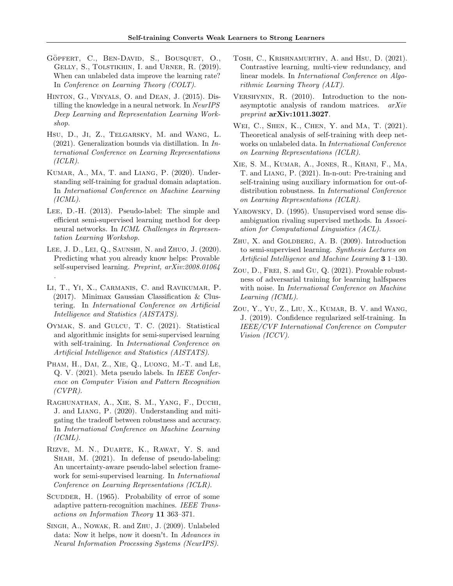- <span id="page-9-6"></span>GÖPFERT, C., BEN-DAVID, S., BOUSQUET, O., Gelly, S., Tolstikhin, I. and Urner, R. (2019). When can unlabeled data improve the learning rate? In Conference on Learning Theory (COLT).
- <span id="page-9-17"></span>Hinton, G., Vinyals, O. and Dean, J. (2015). Distilling the knowledge in a neural network. In NeurIPS Deep Learning and Representation Learning Workshop.
- <span id="page-9-11"></span>Hsu, D., Ji, Z., Telgarsky, M. and Wang, L.  $(2021)$ . Generalization bounds via distillation. In International Conference on Learning Representations  $(ICLR).$
- <span id="page-9-13"></span>Kumar, A., Ma, T. and Liang, P. (2020). Understanding self-training for gradual domain adaptation. In International Conference on Machine Learning  $(ICML).$
- <span id="page-9-2"></span>Lee, D.-H. (2013). Pseudo-label: The simple and efficient semi-supervised learning method for deep neural networks. In ICML Challenges in Representation Learning Workshop.
- <span id="page-9-12"></span>Lee, J. D., Lei, Q., Saunshi, N. and Zhuo, J. (2020). Predicting what you already know helps: Provable self-supervised learning. Preprint, arXiv:2008.01064 .
- <span id="page-9-19"></span>Li, T., Yi, X., Carmanis, C. and Ravikumar, P. (2017). Minimax Gaussian Classification & Clustering. In International Conference on Artificial Intelligence and Statistics (AISTATS).
- <span id="page-9-15"></span>Oymak, S. and Gulcu, T. C. (2021). Statistical and algorithmic insights for semi-supervised learning with self-training. In *International Conference on* Artificial Intelligence and Statistics (AISTATS).
- <span id="page-9-0"></span>PHAM, H., DAI, Z., XIE, Q., LUONG, M.-T. and LE, Q. V. (2021). Meta pseudo labels. In IEEE Conference on Computer Vision and Pattern Recognition  $(CVPR)$ .
- <span id="page-9-10"></span>Raghunathan, A., Xie, S. M., Yang, F., Duchi, J. and Liang, P. (2020). Understanding and mitigating the tradeoff between robustness and accuracy. In International Conference on Machine Learning  $(ICML).$
- <span id="page-9-1"></span>Rizve, M. N., Duarte, K., Rawat, Y. S. and SHAH, M.  $(2021)$ . In defense of pseudo-labeling: An uncertainty-aware pseudo-label selection framework for semi-supervised learning. In International Conference on Learning Representations (ICLR).
- <span id="page-9-3"></span>SCUDDER, H. (1965). Probability of error of some adaptive pattern-recognition machines. IEEE Transactions on Information Theory 11 363–371.
- <span id="page-9-5"></span>Singh, A., Nowak, R. and Zhu, J. (2009). Unlabeled data: Now it helps, now it doesn't. In Advances in Neural Information Processing Systems (NeurIPS).
- <span id="page-9-8"></span>Tosh, C., Krishnamurthy, A. and Hsu, D. (2021). Contrastive learning, multi-view redundancy, and linear models. In International Conference on Algorithmic Learning Theory (ALT).
- <span id="page-9-20"></span>Vershynin, R. (2010). Introduction to the nonasymptotic analysis of random matrices. arXiv preprint arXiv:1011.3027.
- <span id="page-9-9"></span>Wei, C., Shen, K., Chen, Y. and Ma, T. (2021). Theoretical analysis of self-training with deep networks on unlabeled data. In International Conference on Learning Representations (ICLR).
- <span id="page-9-14"></span>Xie, S. M., Kumar, A., Jones, R., Khani, F., Ma, T. and Liang, P. (2021). In-n-out: Pre-training and self-training using auxiliary information for out-ofdistribution robustness. In International Conference on Learning Representations (ICLR).
- <span id="page-9-4"></span>YAROWSKY, D. (1995). Unsupervised word sense disambiguation rivaling supervised methods. In Association for Computational Linguistics (ACL).
- <span id="page-9-7"></span>ZHU, X. and GOLDBERG, A. B. (2009). Introduction to semi-supervised learning. Synthesis Lectures on Artificial Intelligence and Machine Learning 3 1–130.
- <span id="page-9-16"></span>Zou, D., FREI, S. and Gu, Q. (2021). Provable robustness of adversarial training for learning halfspaces with noise. In International Conference on Machine Learning (ICML).
- <span id="page-9-18"></span>Zou, Y., Yu, Z., Liu, X., Kumar, B. V. and Wang, J. (2019). Confidence regularized self-training. In IEEE/CVF International Conference on Computer Vision (ICCV).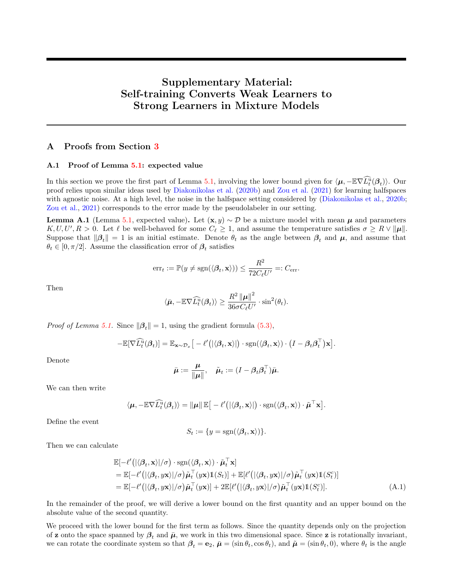# Supplementary Material: Self-training Converts Weak Learners to Strong Learners in Mixture Models

# <span id="page-10-0"></span>A Proofs from Section [3](#page-2-0)

#### A.1 Proof of Lemma [5.1:](#page-5-2) expected value

In this section we prove the first part of Lemma [5.1,](#page-5-2) involving the lower bound given for  $\langle \mu, -E\nabla \widehat{L}_t^{\widehat{u}}(\beta_t) \rangle$ . Our proof relies upon similar ideas used by [Diakonikolas et al.](#page-8-11) [\(2020b\)](#page-8-11) and [Zou et al.](#page-9-16) [\(2021\)](#page-9-16) for learning halfspaces with agnostic noise. At a high level, the noise in the halfspace setting considered by [\(Diakonikolas et al.,](#page-8-11) [2020b;](#page-8-11) [Zou et al.,](#page-9-16) [2021\)](#page-9-16) corresponds to the error made by the pseudolabeler in our setting.

<span id="page-10-2"></span>**Lemma A.1** (Lemma [5.1,](#page-5-2) expected value). Let  $(\mathbf{x}, y) \sim \mathcal{D}$  be a mixture model with mean  $\mu$  and parameters  $K, U, U', R > 0$ . Let  $\ell$  be well-behaved for some  $C_{\ell} \geq 1$ , and assume the temperature satisfies  $\sigma \geq R \vee ||\mu||$ . Suppose that  $\|\beta_t\| = 1$  is an initial estimate. Denote  $\theta_t$  as the angle between  $\beta_t$  and  $\mu$ , and assume that  $\theta_t \in [0, \pi/2]$ . Assume the classification error of  $\boldsymbol{\beta}_t$  satisfies

<span id="page-10-1"></span>
$$
\mathrm{err}_{t} := \mathbb{P}(y \neq \mathrm{sgn}(\langle \boldsymbol{\beta}_{t}, \mathbf{x} \rangle)) \leq \frac{R^2}{72C_{\ell}U'} =: C_{\mathrm{err}}.
$$

Then

$$
\langle \bar{\boldsymbol{\mu}}, -\mathbb{E}\nabla \widehat{L}_t^{\mathrm{u}}(\boldsymbol{\beta}_t) \rangle \geq \frac{R^2 \left\| \boldsymbol{\mu} \right\|^2}{36\sigma C_{\ell}U'} \cdot \sin^2(\theta_t).
$$

*Proof of Lemma [5.1.](#page-5-2)* Since  $\|\beta_t\| = 1$ , using the gradient formula [\(5.3\),](#page-5-3)

$$
-\mathbb{E}[\nabla \widehat{L}_t^{\widehat{u}}(\boldsymbol{\beta}_t)] = \mathbb{E}_{\mathbf{x}\sim\mathcal{D}_x}\big[-\ell'\big(|\langle \boldsymbol{\beta}_t, \mathbf{x}\rangle|\big)\cdot \mathrm{sgn}(\langle \boldsymbol{\beta}_t, \mathbf{x}\rangle)\cdot \big(I-\boldsymbol{\beta}_t\boldsymbol{\beta}_t^\top\big)\mathbf{x}\big].
$$

Denote

$$
\bar{\boldsymbol{\mu}} := \frac{\boldsymbol{\mu}}{\|\boldsymbol{\mu}\|}, \quad \tilde{\boldsymbol{\mu}}_t := (I - \boldsymbol{\beta}_t \boldsymbol{\beta}_t^\top) \bar{\boldsymbol{\mu}}.
$$

We can then write

$$
\langle \boldsymbol{\mu}, -\mathbb{E}\nabla \widehat{L_t^{\mathrm{u}}}(\boldsymbol{\beta}_t) \rangle = \| \boldsymbol{\mu} \| \, \mathbb{E} \big[ -\ell' \big( | \langle \boldsymbol{\beta}_t, \mathbf{x} \rangle | \big) \cdot \mathrm{sgn}(\langle \boldsymbol{\beta}_t, \mathbf{x} \rangle) \cdot \tilde{\boldsymbol{\mu}}^\top \mathbf{x} \big]
$$

Define the event

$$
S_t := \{ y = \text{sgn}(\langle \beta_t, \mathbf{x} \rangle) \}.
$$

Then we can calculate

$$
\mathbb{E}[-\ell'(|\langle \beta_t, \mathbf{x} \rangle | \sigma) \cdot \text{sgn}(\langle \beta_t, \mathbf{x} \rangle) \cdot \tilde{\boldsymbol{\mu}}_t^{\top} \mathbf{x}] \n= \mathbb{E}[-\ell'(|\langle \beta_t, y\mathbf{x} \rangle | \sigma) \tilde{\boldsymbol{\mu}}_t^{\top}(y\mathbf{x}) \mathbb{1}(S_t)] + \mathbb{E}[\ell'(|\langle \beta_t, y\mathbf{x} \rangle | \sigma) \tilde{\boldsymbol{\mu}}_t^{\top}(y\mathbf{x}) \mathbb{1}(S_t^c)] \n= \mathbb{E}[-\ell'(|\langle \beta_t, y\mathbf{x} \rangle | \sigma) \tilde{\boldsymbol{\mu}}_t^{\top}(y\mathbf{x})] + 2 \mathbb{E}[\ell'(|\langle \beta_t, y\mathbf{x} \rangle | \sigma) \tilde{\boldsymbol{\mu}}_t^{\top}(y\mathbf{x}) \mathbb{1}(S_t^c)].
$$
\n(A.1)

.

In the remainder of the proof, we will derive a lower bound on the first quantity and an upper bound on the absolute value of the second quantity.

We proceed with the lower bound for the first term as follows. Since the quantity depends only on the projection of z onto the space spanned by  $\beta_t$  and  $\bar{\mu}$ , we work in this two dimensional space. Since z is rotationally invariant, we can rotate the coordinate system so that  $\beta_t = \mathbf{e}_2$ ,  $\bar{\boldsymbol{\mu}} = (\sin \theta_t, \cos \theta_t)$ , and  $\tilde{\boldsymbol{\mu}} = (\sin \theta_t, 0)$ , where  $\theta_t$  is the angle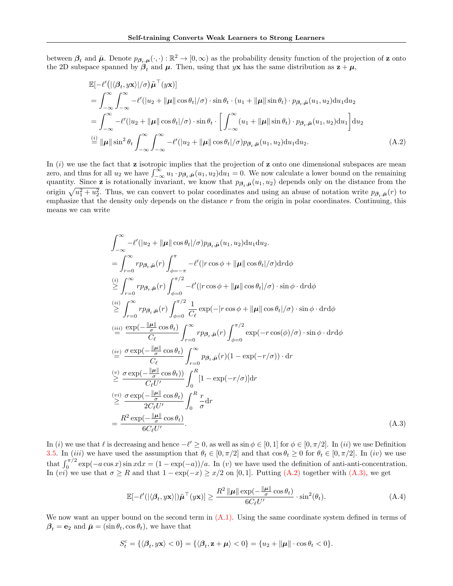between  $\beta_t$  and  $\bar{\mu}$ . Denote  $p_{\beta_t,\mu}(\cdot,\cdot):\mathbb{R}^2\to[0,\infty)$  as the probability density function of the projection of z onto the 2D subspace spanned by  $\beta_t$  and  $\mu$ . Then, using that yx has the same distribution as  $z + \mu$ ,

$$
\mathbb{E}\left[-\ell'(|\langle\beta_t, y\mathbf{x}\rangle|/\sigma)\tilde{\boldsymbol{\mu}}^\top(y\mathbf{x})\right] \n= \int_{-\infty}^{\infty} \int_{-\infty}^{\infty} -\ell'(|u_2 + \|\boldsymbol{\mu}\| \cos \theta_t|/\sigma) \cdot \sin \theta_t \cdot (u_1 + \|\boldsymbol{\mu}\| \sin \theta_t) \cdot p_{\beta_t, \bar{\boldsymbol{\mu}}}(u_1, u_2) \mathrm{d}u_1 \mathrm{d}u_2 \n= \int_{-\infty}^{\infty} -\ell'(|u_2 + \|\boldsymbol{\mu}\| \cos \theta_t|/\sigma) \cdot \sin \theta_t \cdot \left[\int_{-\infty}^{\infty} (u_1 + \|\boldsymbol{\mu}\| \sin \theta_t) \cdot p_{\beta_t, \bar{\boldsymbol{\mu}}}(u_1, u_2) \mathrm{d}u_1\right] \mathrm{d}u_2 \n\stackrel{\text{(i)}}{=} \|\boldsymbol{\mu}\| \sin^2 \theta_t \int_{-\infty}^{\infty} \int_{-\infty}^{\infty} -\ell'(|u_2 + \|\boldsymbol{\mu}\| \cos \theta_t|/\sigma) p_{\beta_t, \bar{\boldsymbol{\mu}}}(u_1, u_2) \mathrm{d}u_1 \mathrm{d}u_2.
$$
\n(A.2)

In  $(i)$  we use the fact that z isotropic implies that the projection of z onto one dimensional subspaces are mean zero, and thus for all  $u_2$  we have  $\int_{-\infty}^{\infty} u_1 \cdot p_{\beta_t,\bar{\mu}}(u_1, u_2) du_1 = 0$ . We now calculate a lower bound on the remaining quantity. Since **z** is rotationally invariant, we know that  $p_{\beta_t,\bar{\mu}}(u_1, u_2)$  depends only on the distance from the origin  $\sqrt{u_1^2 + u_2^2}$ . Thus, we can convert to polar coordinates and using an abuse of notation write  $p_{\beta_t,\bar{\mu}}(r)$  to emphasize that the density only depends on the distance  $r$  from the origin in polar coordinates. Continuing, this means we can write

<span id="page-11-0"></span>
$$
\int_{-\infty}^{\infty} -\ell'(|u_2 + ||\boldsymbol{\mu}|| \cos \theta_t | / \sigma) p_{\beta_t, \bar{\boldsymbol{\mu}}}(u_1, u_2) du_1 du_2.
$$
\n
$$
= \int_{r=0}^{\infty} r p_{\beta_t, \bar{\boldsymbol{\mu}}}(r) \int_{\phi=-\pi}^{\pi} -\ell'(|r \cos \phi + ||\boldsymbol{\mu}|| \cos \theta_t | / \sigma) dr d\phi
$$
\n
$$
\geq \int_{r=0}^{\infty} r p_{\beta_t, \bar{\boldsymbol{\mu}}}(r) \int_{\phi=0}^{\pi/2} -\ell'(|r \cos \phi + ||\boldsymbol{\mu}|| \cos \theta_t | / \sigma) \cdot \sin \phi \cdot dr d\phi
$$
\n
$$
\stackrel{(ii)}{\geq} \int_{r=0}^{\infty} r p_{\beta_t, \bar{\boldsymbol{\mu}}}(r) \int_{\phi=0}^{\pi/2} \frac{1}{C_{\ell}} \exp(-|r \cos \phi + ||\boldsymbol{\mu}|| \cos \theta_t | / \sigma) \cdot \sin \phi \cdot dr d\phi
$$
\n
$$
\stackrel{(iii)}{=} \frac{\exp(-\frac{||\boldsymbol{\mu}||}{\sigma} \cos \theta_t)}{C_{\ell}} \int_{r=0}^{\infty} r p_{\beta_t, \bar{\boldsymbol{\mu}}}(r) \int_{\phi=0}^{\pi/2} \exp(-r \cos(\phi) / \sigma) \cdot \sin \phi \cdot dr d\phi
$$
\n
$$
\stackrel{(iv)}{=} \frac{\sigma \exp(-\frac{||\boldsymbol{\mu}||}{\sigma} \cos \theta_t)}{C_{\ell}} \int_{r=0}^{\infty} p_{\beta_t, \bar{\boldsymbol{\mu}}}(r) (1 - \exp(-r/\sigma)) \cdot dr
$$
\n
$$
\stackrel{(v)}{\geq} \frac{\sigma \exp(-\frac{||\boldsymbol{\mu}||}{\sigma} \cos \theta_t)}{C_{\ell} U'} \int_{0}^{R} [1 - \exp(-r/\sigma)] dr
$$
\n
$$
\stackrel{(vi)}{\geq} \frac{\sigma \exp(-\frac{||\boldsymbol{\mu}||}{\sigma} \cos \theta_t)}{2C_{\ell} U'} \int_{0}^{R} \frac{r}{\sigma} dr
$$
\n
$$
= \frac{R^2 \exp(-\frac{||\boldsymbol{\mu}|| \cos \theta_t)}
$$

In (i) we use that  $\ell$  is decreasing and hence  $-\ell' \geq 0$ , as well as sin  $\phi \in [0, 1]$  for  $\phi \in [0, \pi/2]$ . In (ii) we use Definition [3.5.](#page-3-3) In (iii) we have used the assumption that  $\theta_t \in [0, \pi/2]$  and that  $\cos \theta_t \ge 0$  for  $\theta_t \in [0, \pi/2]$ . In (iv) we use that  $\int_0^{\pi/2} \exp(-a \cos x) \sin x dx = (1 - \exp(-a))/a$ . In (v) we have used the definition of anti-anti-concentration. In (vi) we use that  $\sigma \geq R$  and that  $1 - \exp(-x) \geq x/2$  on [0, 1]. Putting [\(A.2\)](#page-11-0) together with [\(A.3\),](#page-11-1) we get

<span id="page-11-2"></span><span id="page-11-1"></span>
$$
\mathbb{E}[-\ell'(|\langle \beta_t, y\mathbf{x} \rangle|)\tilde{\boldsymbol{\mu}}^{\top}(y\mathbf{x})] \ge \frac{R^2 \|\boldsymbol{\mu}\| \exp(-\frac{\|\boldsymbol{\mu}\|}{\sigma} \cos \theta_t)}{6C_{\ell}U'} \cdot \sin^2(\theta_t). \tag{A.4}
$$

We now want an upper bound on the second term in  $(A.1)$ . Using the same coordinate system defined in terms of  $\beta_t = \mathbf{e}_2$  and  $\bar{\boldsymbol{\mu}} = (\sin \theta_t, \cos \theta_t)$ , we have that

$$
S_t^c = \{ \langle \boldsymbol{\beta}_t, y\mathbf{x} \rangle < 0 \} = \{ \langle \boldsymbol{\beta}_t, \mathbf{z} + \boldsymbol{\mu} \rangle < 0 \} = \{ u_2 + ||\boldsymbol{\mu}|| \cdot \cos \theta_t < 0 \}.
$$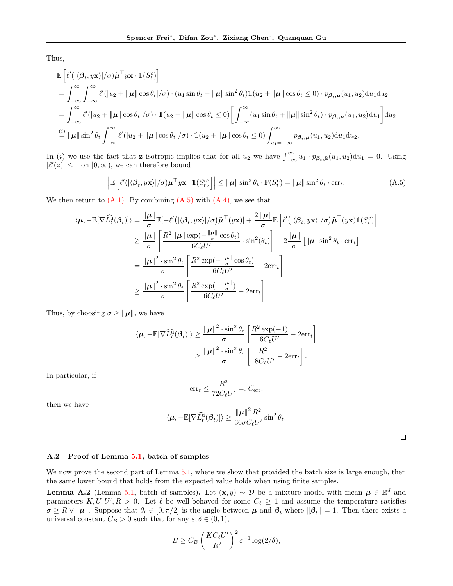Thus,

$$
\mathbb{E}\left[\ell'(|\langle \beta_t, y\mathbf{x}\rangle|/\sigma)\tilde{\boldsymbol{\mu}}^\top y\mathbf{x}\cdot\mathbb{1}(S_t^c)\right]
$$
\n
$$
=\int_{-\infty}^{\infty}\int_{-\infty}^{\infty}\ell'(|u_2 + \|\boldsymbol{\mu}\| \cos\theta_t|/\sigma) \cdot (u_1 \sin\theta_t + \|\boldsymbol{\mu}\| \sin^2\theta_t)\mathbb{1}(u_2 + \|\boldsymbol{\mu}\| \cos\theta_t \le 0) \cdot p_{\beta_t, \bar{\boldsymbol{\mu}}}(u_1, u_2) \mathrm{d}u_1 \mathrm{d}u_2
$$
\n
$$
=\int_{-\infty}^{\infty}\ell'(|u_2 + \|\boldsymbol{\mu}\| \cos\theta_t|/\sigma) \cdot \mathbb{1}(u_2 + \|\boldsymbol{\mu}\| \cos\theta_t \le 0) \left[\int_{-\infty}^{\infty}(u_1 \sin\theta_t + \|\boldsymbol{\mu}\| \sin^2\theta_t) \cdot p_{\beta_t, \bar{\boldsymbol{\mu}}}(u_1, u_2) \mathrm{d}u_1\right] \mathrm{d}u_2
$$
\n
$$
\stackrel{\text{(i)}}{=} \|\boldsymbol{\mu}\| \sin^2\theta_t \int_{-\infty}^{\infty}\ell'(|u_2 + \|\boldsymbol{\mu}\| \cos\theta_t|/\sigma) \cdot \mathbb{1}(u_2 + \|\boldsymbol{\mu}\| \cos\theta_t \le 0) \int_{u_1 = -\infty}^{\infty} p_{\beta_t, \bar{\boldsymbol{\mu}}}(u_1, u_2) \mathrm{d}u_1 \mathrm{d}u_2.
$$

In (i) we use the fact that **z** isotropic implies that for all  $u_2$  we have  $\int_{-\infty}^{\infty} u_1 \cdot p_{\beta_t,\bar{\mu}}(u_1,u_2) \, du_1 = 0$ . Using  $|\ell'(z)| \leq 1$  on  $[0, \infty)$ , we can therefore bound

$$
\left| \mathbb{E}\left[ \ell'(|\langle \beta_t, y\mathbf{x} \rangle|/\sigma) \tilde{\boldsymbol{\mu}}^\top y\mathbf{x} \cdot \mathbb{1}(S_t^c) \right] \right| \leq \|\boldsymbol{\mu}\| \sin^2 \theta_t \cdot \mathbb{P}(S_t^c) = \|\boldsymbol{\mu}\| \sin^2 \theta_t \cdot \text{err}_t. \tag{A.5}
$$

We then return to  $(A.1)$ . By combining  $(A.5)$  with  $(A.4)$ , we see that

$$
\langle \mu, -\mathbb{E}[\nabla \widehat{L}_{t}^{\mathbf{u}}(\beta_{t})] \rangle = \frac{\|\mu\|}{\sigma} \mathbb{E}[-\ell'(|\langle \beta_{t}, y\mathbf{x}\rangle|/\sigma)\tilde{\mu}^{\top}(y\mathbf{x})] + \frac{2\|\mu\|}{\sigma} \mathbb{E}\left[\ell'(|\langle \beta_{t}, y\mathbf{x}\rangle|/\sigma)\tilde{\mu}^{\top}(y\mathbf{x})\mathbb{1}(S_{t}^{c})\right]
$$
  
\n
$$
\geq \frac{\|\mu\|}{\sigma} \left[\frac{R^{2} \|\mu\| \exp(-\frac{\|\mu\|}{\sigma} \cos \theta_{t})}{6C_{\ell}U'} \cdot \sin^{2}(\theta_{t})\right] - 2\frac{\|\mu\|}{\sigma} \left[\|\mu\| \sin^{2} \theta_{t} \cdot \text{err}_{t}\right]
$$
  
\n
$$
= \frac{\|\mu\|^{2} \cdot \sin^{2} \theta_{t}}{\sigma} \left[\frac{R^{2} \exp(-\frac{\|\mu\|}{\sigma} \cos \theta_{t})}{6C_{\ell}U'} - 2\text{err}_{t}\right]
$$
  
\n
$$
\geq \frac{\|\mu\|^{2} \cdot \sin^{2} \theta_{t}}{\sigma} \left[\frac{R^{2} \exp(-\frac{\|\mu\|}{\sigma})}{6C_{\ell}U'} - 2\text{err}_{t}\right].
$$

Thus, by choosing  $\sigma \geq ||\mu||$ , we have

$$
\langle \mu, -\mathbb{E}[\nabla \widehat{L}_t^{\mathrm{u}}(\beta_t)] \rangle \ge \frac{\|\mu\|^2 \cdot \sin^2 \theta_t}{\sigma} \left[ \frac{R^2 \exp(-1)}{6C_{\ell}U'} - 2\mathrm{err}_t \right]
$$

$$
\ge \frac{\|\mu\|^2 \cdot \sin^2 \theta_t}{\sigma} \left[ \frac{R^2}{18C_{\ell}U'} - 2\mathrm{err}_t \right].
$$

In particular, if

$$
\mathrm{err}_t \le \frac{R^2}{72C_{\ell}U'} =: C_{\mathrm{err}},
$$

then we have

<span id="page-12-1"></span>
$$
\langle \boldsymbol{\mu}, -\mathbb{E}[\nabla \widehat{L}_t^{\widehat{\mathbf{u}}}(\boldsymbol{\beta}_t)] \rangle \geq \frac{\left\| \boldsymbol{\mu} \right\|^2 R^2}{36\sigma C_{\ell} U'} \sin^2 \theta_t.
$$

<span id="page-12-0"></span> $\Box$ 

#### A.2 Proof of Lemma [5.1,](#page-5-2) batch of samples

We now prove the second part of Lemma [5.1,](#page-5-2) where we show that provided the batch size is large enough, then the same lower bound that holds from the expected value holds when using finite samples.

**Lemma A.2** (Lemma [5.1,](#page-5-2) batch of samples). Let  $(\mathbf{x}, y) \sim \mathcal{D}$  be a mixture model with mean  $\mu \in \mathbb{R}^d$  and parameters  $K, U, U', R > 0$ . Let  $\ell$  be well-behaved for some  $C_{\ell} \geq 1$  and assume the temperature satisfies  $\sigma \geq R \vee ||\mu||$ . Suppose that  $\theta_t \in [0, \pi/2]$  is the angle between  $\mu$  and  $\beta_t$  where  $||\beta_t|| = 1$ . Then there exists a universal constant  $C_B > 0$  such that for any  $\varepsilon, \delta \in (0,1),$ 

$$
B \geq C_B \left(\frac{KC_{\ell}U'}{R^2}\right)^2 \varepsilon^{-1} \log(2/\delta),
$$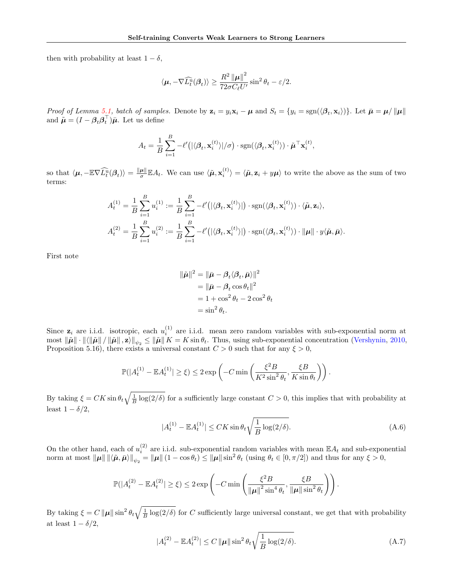then with probability at least  $1 - \delta$ ,

$$
\langle \mu, -\nabla \widehat{L}_t^{\widehat{u}}(\beta_t) \rangle \ge \frac{R^2 \left\| \mu \right\|^2}{72\sigma C_{\ell} U'} \sin^2 \theta_t - \varepsilon/2.
$$

Proof of Lemma [5.1,](#page-5-2) batch of samples. Denote by  $\mathbf{z}_i = y_i \mathbf{x}_i - \boldsymbol{\mu}$  and  $S_t = \{y_i = \text{sgn}(\langle \boldsymbol{\beta}_t, \mathbf{x}_i \rangle)\}\.$  Let  $\bar{\boldsymbol{\mu}} = \boldsymbol{\mu}/\|\boldsymbol{\mu}\|$ and  $\tilde{\boldsymbol{\mu}} = (I - \boldsymbol{\beta}_t \boldsymbol{\beta}_t^{\top}) \bar{\boldsymbol{\mu}}$ . Let us define

$$
A_t = \frac{1}{B} \sum_{i=1}^B -\ell'(|\langle \beta_t, \mathbf{x}_i^{(t)} \rangle| / \sigma) \cdot \text{sgn}(\langle \beta_t, \mathbf{x}_i^{(t)} \rangle) \cdot \tilde{\boldsymbol{\mu}}^\top \mathbf{x}_i^{(t)},
$$

so that  $\langle \mu, -\mathbb{E}\nabla \widehat{L_{t}^u}(\beta_t) \rangle = \frac{\|\mu\|}{\sigma}$  $\frac{\mu\|\mathbb{E}A_t}{\sigma}$ . We can use  $\langle \tilde{\boldsymbol{\mu}}, \mathbf{x}_i^{(t)} \rangle = \langle \tilde{\boldsymbol{\mu}}, \mathbf{z}_i + y\boldsymbol{\mu} \rangle$  to write the above as the sum of two terms:

$$
A_t^{(1)} = \frac{1}{B} \sum_{i=1}^B u_i^{(1)} := \frac{1}{B} \sum_{i=1}^B -\ell'(|\langle \beta_t, \mathbf{x}_i^{(t)} \rangle|) \cdot \text{sgn}(\langle \beta_t, \mathbf{x}_i^{(t)} \rangle) \cdot \langle \tilde{\boldsymbol{\mu}}, \mathbf{z}_i \rangle,
$$
  

$$
A_t^{(2)} = \frac{1}{B} \sum_{i=1}^B u_i^{(2)} := \frac{1}{B} \sum_{i=1}^B -\ell'(|\langle \beta_t, \mathbf{x}_i^{(t)} \rangle|) \cdot \text{sgn}(\langle \beta_t, \mathbf{x}_i^{(t)} \rangle) \cdot ||\boldsymbol{\mu}|| \cdot y \langle \tilde{\boldsymbol{\mu}}, \tilde{\boldsymbol{\mu}} \rangle.
$$

First note

$$
\|\tilde{\boldsymbol{\mu}}\|^2 = \|\bar{\boldsymbol{\mu}} - \beta_t \langle \beta_t, \bar{\boldsymbol{\mu}} \rangle\|^2
$$
  
= 
$$
\|\bar{\boldsymbol{\mu}} - \beta_t \cos \theta_t\|^2
$$
  
= 
$$
1 + \cos^2 \theta_t - 2 \cos^2 \theta_t
$$
  
= 
$$
\sin^2 \theta_t.
$$

Since  $z_i$  are i.i.d. isotropic, each  $u_i^{(1)}$  are i.i.d. mean zero random variables with sub-exponential norm at most  $\|\tilde{\boldsymbol{\mu}}\| \cdot \|\langle \|\tilde{\boldsymbol{\mu}}\| / \|\tilde{\boldsymbol{\mu}}\|, \mathbf{z}\rangle\|_{\psi_2} \le \|\tilde{\boldsymbol{\mu}}\| K = K \sin \theta_t$ . Thus, using sub-exponential concentration [\(Vershynin,](#page-9-20) [2010,](#page-9-20) Proposition 5.16), there exists a universal constant  $C > 0$  such that for any  $\xi > 0$ ,

$$
\mathbb{P}(|A_t^{(1)} - \mathbb{E}A_t^{(1)}| \ge \xi) \le 2 \exp\left(-C \min\left(\frac{\xi^2 B}{K^2 \sin^2 \theta_t}, \frac{\xi B}{K \sin \theta_t}\right)\right).
$$

By taking  $\xi = CK \sin \theta_t \sqrt{\frac{1}{B} \log(2/\delta)}$  for a sufficiently large constant  $C > 0$ , this implies that with probability at least  $1 - \delta/2$ ,

$$
|A_t^{(1)} - \mathbb{E}A_t^{(1)}| \le CK \sin \theta_t \sqrt{\frac{1}{B} \log(2/\delta)}.
$$
 (A.6)

On the other hand, each of  $u_i^{(2)}$  are i.i.d. sub-exponential random variables with mean  $\mathbb{E}A_t$  and sub-exponential norm at most  $\|\mu\| \|\langle \tilde{\mu}, \bar{\mu} \rangle\|_{\psi_2} = \|\mu\| (1 - \cos \theta_t) \le \|\mu\| \sin^2 \theta_t$  (using  $\theta_t \in [0, \pi/2]$ ) and thus for any  $\xi > 0$ ,

<span id="page-13-0"></span>
$$
\mathbb{P}(|A_t^{(2)} - \mathbb{E}A_t^{(2)}| \ge \xi) \le 2 \exp\left(-C \min\left(\frac{\xi^2 B}{\|\boldsymbol{\mu}\|^2 \sin^4 \theta_t}, \frac{\xi B}{\|\boldsymbol{\mu}\| \sin^2 \theta_t}\right)\right).
$$

By taking  $\xi = C \|\mu\| \sin^2 \theta_t \sqrt{\frac{1}{B} \log(2/\delta)}$  for C sufficiently large universal constant, we get that with probability at least  $1 - \delta/2$ ,

$$
|A_t^{(2)} - \mathbb{E}A_t^{(2)}| \le C \|\mu\| \sin^2 \theta_t \sqrt{\frac{1}{B} \log(2/\delta)}.
$$
 (A.7)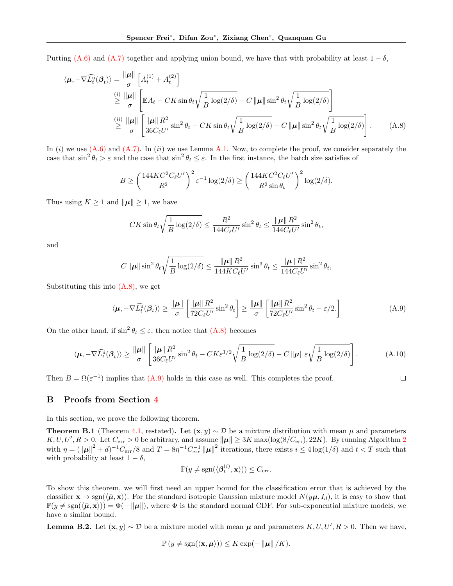Putting [\(A.6\)](#page-12-1) and [\(A.7\)](#page-13-0) together and applying union bound, we have that with probability at least  $1 - \delta$ ,

$$
\langle \mu, -\nabla \widehat{L}_{t}^{\widehat{u}}(\beta_{t}) \rangle = \frac{\|\mu\|}{\sigma} \left[ A_{t}^{(1)} + A_{t}^{(2)} \right]
$$
  

$$
\geq \frac{\|\mu\|}{\sigma} \left[ \mathbb{E} A_{t} - CK \sin \theta_{t} \sqrt{\frac{1}{B} \log(2/\delta)} - C \|\mu\| \sin^{2} \theta_{t} \sqrt{\frac{1}{B} \log(2/\delta)} \right]
$$
  

$$
\geq \frac{\langle i^{2} \rangle \|\mu\|}{\sigma} \left[ \frac{\|\mu\| R^{2}}{36C_{\ell}U'} \sin^{2} \theta_{t} - CK \sin \theta_{t} \sqrt{\frac{1}{B} \log(2/\delta)} - C \|\mu\| \sin^{2} \theta_{t} \sqrt{\frac{1}{B} \log(2/\delta)} \right]. \tag{A.8}
$$

In  $(i)$  we use  $(A.6)$  and  $(A.7)$ . In  $(ii)$  we use Lemma [A.1.](#page-10-2) Now, to complete the proof, we consider separately the case that  $\sin^2 \theta_t > \varepsilon$  and the case that  $\sin^2 \theta_t \leq \varepsilon$ . In the first instance, the batch size satisfies of

$$
B \ge \left(\frac{144KC^2C_{\ell}U'}{R^2}\right)^2 \varepsilon^{-1} \log(2/\delta) \ge \left(\frac{144KC^2C_{\ell}U'}{R^2\sin\theta_t}\right)^2 \log(2/\delta).
$$

Thus using  $K \geq 1$  and  $\|\mu\| \geq 1$ , we have

$$
CK\sin\theta_t\sqrt{\frac{1}{B}\log(2/\delta)} \le \frac{R^2}{144C_{\ell}U'}\sin^2\theta_t \le \frac{\|\boldsymbol{\mu}\| R^2}{144C_{\ell}U'}\sin^2\theta_t,
$$

and

$$
C \|\boldsymbol{\mu}\| \sin^2 \theta_t \sqrt{\frac{1}{B} \log(2/\delta)} \le \frac{\|\boldsymbol{\mu}\| \, R^2}{144KC_{\ell}U'} \sin^3 \theta_t \le \frac{\|\boldsymbol{\mu}\| \, R^2}{144C_{\ell}U'} \sin^2 \theta_t,
$$

Substituting this into [\(A.8\),](#page-14-1) we get

<span id="page-14-2"></span>
$$
\langle \boldsymbol{\mu}, -\nabla \widehat{L}_t^{\widehat{u}}(\boldsymbol{\beta}_t) \rangle \ge \frac{\|\boldsymbol{\mu}\|}{\sigma} \left[ \frac{\|\boldsymbol{\mu}\| \, R^2}{72C_{\ell}U'} \sin^2 \theta_t \right] \ge \frac{\|\boldsymbol{\mu}\|}{\sigma} \left[ \frac{\|\boldsymbol{\mu}\| \, R^2}{72C_{\ell}U'} \sin^2 \theta_t - \varepsilon/2. \right] \tag{A.9}
$$

On the other hand, if  $\sin^2 \theta_t \leq \varepsilon$ , then notice that  $(A.8)$  becomes

$$
\langle \boldsymbol{\mu}, -\nabla \widehat{L}_t^{\widehat{u}}(\boldsymbol{\beta}_t) \rangle \ge \frac{\|\boldsymbol{\mu}\|}{\sigma} \left[ \frac{\|\boldsymbol{\mu}\| \, R^2}{36C_{\ell}U'} \sin^2 \theta_t - CK\epsilon^{1/2} \sqrt{\frac{1}{B} \log(2/\delta)} - C \|\boldsymbol{\mu}\| \, \epsilon \sqrt{\frac{1}{B} \log(2/\delta)} \right]. \tag{A.10}
$$

Then  $B = \Omega(\varepsilon^{-1})$  implies that  $(A.9)$  holds in this case as well. This completes the proof.

<span id="page-14-1"></span> $\Box$ 

#### <span id="page-14-0"></span>B Proofs from Section [4](#page-4-0)

In this section, we prove the following theorem.

**Theorem B.1** (Theorem [4.1,](#page-4-3) restated). Let  $(\mathbf{x}, y) \sim \mathcal{D}$  be a mixture distribution with mean  $\mu$  and parameters  $K, U, U', R > 0$ . Let  $C_{err} > 0$  be arbitrary, and assume  $\|\mu\| \geq 3K \max(\log(8/C_{err}), 22K)$  $\|\mu\| \geq 3K \max(\log(8/C_{err}), 22K)$  $\|\mu\| \geq 3K \max(\log(8/C_{err}), 22K)$ . By running Algorithm 2 with  $\eta = (\|\mu\|^2 + d)^{-1}C_{\text{err}}/8$  and  $T = 8\eta^{-1}C_{\text{err}}^{-1} \|\mu\|^2$  iterations, there exists  $i \leq 4 \log(1/\delta)$  and  $t < T$  such that with probability at least  $1 - \delta$ ,

$$
\mathbb{P}(y \neq \text{sgn}(\langle \boldsymbol{\beta}_t^{(i)}, \mathbf{x} \rangle)) \leq C_{\text{err}}.
$$

To show this theorem, we will first need an upper bound for the classification error that is achieved by the classifier  $\mathbf{x} \mapsto \text{sgn}(\langle \bar{\boldsymbol{\mu}}, \mathbf{x} \rangle)$ . For the standard isotropic Gaussian mixture model  $N(y\boldsymbol{\mu}, I_d)$ , it is easy to show that  $\mathbb{P}(y \neq \text{sgn}(\langle \bar{\boldsymbol{\mu}}, \mathbf{x} \rangle)) = \Phi(-\|\boldsymbol{\mu}\|)$ , where  $\Phi$  is the standard normal CDF. For sub-exponential mixture models, we have a similar bound.

<span id="page-14-3"></span>**Lemma B.2.** Let  $(\mathbf{x}, y) \sim \mathcal{D}$  be a mixture model with mean  $\mu$  and parameters  $K, U, U', R > 0$ . Then we have,

<span id="page-14-4"></span>
$$
\mathbb{P}\left(y \neq \text{sgn}(\langle \mathbf{x}, \boldsymbol{\mu} \rangle)\right) \leq K \exp(-\left\|\boldsymbol{\mu}\right\| / K).
$$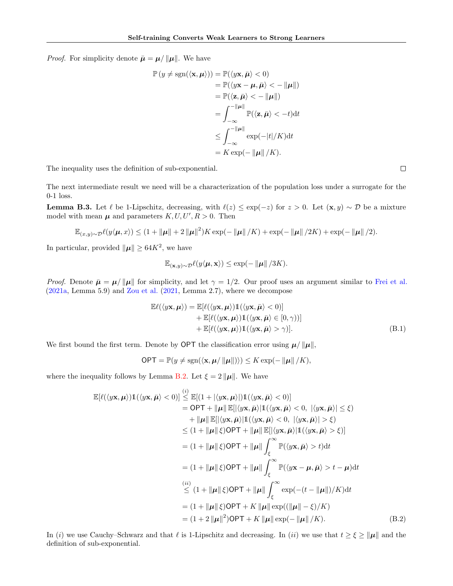*Proof.* For simplicity denote  $\bar{\mu} = \mu / ||\mu||$ . We have

$$
\mathbb{P}(y \neq \text{sgn}(\langle \mathbf{x}, \boldsymbol{\mu} \rangle)) = \mathbb{P}(\langle y\mathbf{x}, \bar{\boldsymbol{\mu}} \rangle < 0) \n= \mathbb{P}(\langle y\mathbf{x} - \boldsymbol{\mu}, \bar{\boldsymbol{\mu}} \rangle < - \|\boldsymbol{\mu}\|) \n= \mathbb{P}(\langle \mathbf{z}, \bar{\boldsymbol{\mu}} \rangle < - \|\boldsymbol{\mu}\|) \n= \int_{-\infty}^{-\|\boldsymbol{\mu}\|} \mathbb{P}(\langle \mathbf{z}, \bar{\boldsymbol{\mu}} \rangle < -t) dt \n\leq \int_{-\infty}^{-\|\boldsymbol{\mu}\|} \exp(-|t|/K) dt \n= K \exp(-\|\boldsymbol{\mu}\|/K).
$$

The inequality uses the definition of sub-exponential.

The next intermediate result we need will be a characterization of the population loss under a surrogate for the 0-1 loss.

<span id="page-15-1"></span>**Lemma B.3.** Let  $\ell$  be 1-Lipschitz, decreasing, with  $\ell(z) \leq \exp(-z)$  for  $z > 0$ . Let  $(\mathbf{x}, y) \sim \mathcal{D}$  be a mixture model with mean  $\mu$  and parameters  $K, U, U', R > 0$ . Then

$$
\mathbb{E}_{(x,y)\sim\mathcal{D}}\ell(y\langle \boldsymbol{\mu},x\rangle) \leq (1+\|\boldsymbol{\mu}\|+2\|\boldsymbol{\mu}\|^2)K\exp(-\|\boldsymbol{\mu}\|/K)+\exp(-\|\boldsymbol{\mu}\|/2K)+\exp(-\|\boldsymbol{\mu}\|/2).
$$

In particular, provided  $\|\mu\| \geq 64K^2$ , we have

$$
\mathbb{E}_{(\mathbf{x},y)\sim\mathcal{D}}\ell(y\langle \boldsymbol{\mu}, \mathbf{x}\rangle) \le \exp(-\|\boldsymbol{\mu}\|/3K).
$$

*Proof.* Denote  $\bar{\mu} = \mu / ||\mu||$  for simplicity, and let  $\gamma = 1/2$ . Our proof uses an argument similar to [Frei et al.](#page-8-12) [\(2021a,](#page-8-12) Lemma 5.9) and [Zou et al.](#page-9-16) [\(2021,](#page-9-16) Lemma 2.7), where we decompose

$$
\mathbb{E}\ell(\langle y\mathbf{x}, \boldsymbol{\mu}\rangle) = \mathbb{E}[\ell(\langle y\mathbf{x}, \boldsymbol{\mu}\rangle) \mathbb{1}(\langle y\mathbf{x}, \bar{\boldsymbol{\mu}}\rangle < 0)] \n+ \mathbb{E}[\ell(\langle y\mathbf{x}, \boldsymbol{\mu}\rangle) \mathbb{1}(\langle y\mathbf{x}, \bar{\boldsymbol{\mu}}\rangle \in [0, \gamma))] \n+ \mathbb{E}[\ell(\langle y\mathbf{x}, \boldsymbol{\mu}\rangle) \mathbb{1}(\langle y\mathbf{x}, \bar{\boldsymbol{\mu}}\rangle > \gamma)].
$$
\n(B.1)

We first bound the first term. Denote by OPT the classification error using  $\mu/||\mu||$ ,

<span id="page-15-0"></span> $\langle i \rangle$ 

$$
\mathsf{OPT} = \mathbb{P}(y \neq \mathrm{sgn}(\langle \mathbf{x}, \boldsymbol{\mu} / \|\boldsymbol{\mu}\|)) \leq K \exp(-\|\boldsymbol{\mu}\| / K),
$$

where the inequality follows by Lemma [B.2.](#page-14-3) Let  $\xi = 2 ||\mu||$ . We have

$$
\mathbb{E}[\ell(\langle y\mathbf{x},\boldsymbol{\mu}\rangle)\mathbb{1}(\langle y\mathbf{x},\bar{\boldsymbol{\mu}}\rangle<0)] \leq \mathbb{E}[(1+|\langle y\mathbf{x},\boldsymbol{\mu}\rangle|)\mathbb{1}(\langle y\mathbf{x},\bar{\boldsymbol{\mu}}\rangle<0)]
$$
\n
$$
= \mathsf{OPT} + \|\boldsymbol{\mu}\| \mathbb{E}[\langle y\mathbf{x},\bar{\boldsymbol{\mu}}\rangle|\mathbb{1}(\langle y\mathbf{x},\bar{\boldsymbol{\mu}}\rangle<0, |\langle y\mathbf{x},\bar{\boldsymbol{\mu}}\rangle| \leq \xi)
$$
\n
$$
+ \|\boldsymbol{\mu}\| \mathbb{E}[\langle y\mathbf{x},\bar{\boldsymbol{\mu}}\rangle|\mathbb{1}(\langle y\mathbf{x},\bar{\boldsymbol{\mu}}\rangle<0, |\langle y\mathbf{x},\bar{\boldsymbol{\mu}}\rangle| > \xi)
$$
\n
$$
\leq (1 + \|\boldsymbol{\mu}\| \xi)\mathsf{OPT} + \|\boldsymbol{\mu}\| \mathbb{E}[\langle y\mathbf{x},\bar{\boldsymbol{\mu}}\rangle|\mathbb{1}(\langle y\mathbf{x},\bar{\boldsymbol{\mu}}\rangle> \xi)]
$$
\n
$$
= (1 + \|\boldsymbol{\mu}\| \xi)\mathsf{OPT} + \|\boldsymbol{\mu}\| \int_{\xi}^{\infty} \mathbb{P}(\langle y\mathbf{x},\bar{\boldsymbol{\mu}}\rangle>t)dt
$$
\n
$$
= (1 + \|\boldsymbol{\mu}\| \xi)\mathsf{OPT} + \|\boldsymbol{\mu}\| \int_{\xi}^{\infty} \mathbb{P}(\langle y\mathbf{x}-\boldsymbol{\mu},\bar{\boldsymbol{\mu}}\rangle>t-\boldsymbol{\mu})dt
$$
\n
$$
\stackrel{(ii)}{\leq} (1 + \|\boldsymbol{\mu}\| \xi)\mathsf{OPT} + \|\boldsymbol{\mu}\| \int_{\xi}^{\infty} \exp(-(t - \|\boldsymbol{\mu}\|)/K)dt
$$
\n
$$
= (1 + \|\boldsymbol{\mu}\| \xi)\mathsf{OPT} + K \|\boldsymbol{\mu}\| \exp(\|\boldsymbol{\mu}\| - \xi)/K)
$$
\n
$$
= (1 + 2 \|\boldsymbol{\mu}\|^{2})\mathsf{OPT} + K \|\boldsymbol{\mu}\| \exp(-\|\boldsymbol{\mu}\|/K).
$$
\n(B.2)

In (i) we use Cauchy–Schwarz and that  $\ell$  is 1-Lipschitz and decreasing. In (ii) we use that  $t \ge \xi \ge ||\mu||$  and the definition of sub-exponential.

 $\Box$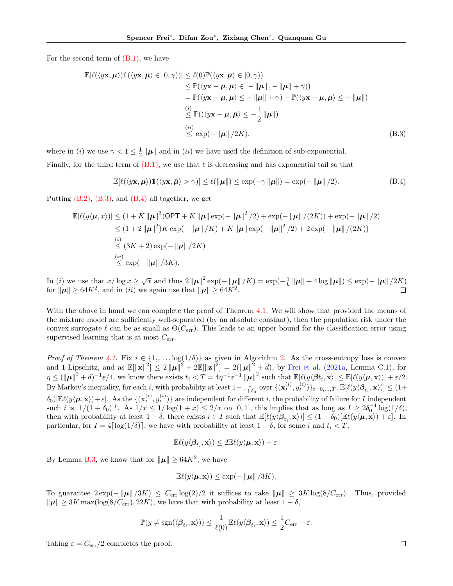For the second term of [\(B.1\),](#page-14-4) we have

$$
\mathbb{E}[\ell(\langle y\mathbf{x}, \boldsymbol{\mu}\rangle) \mathbb{1}(\langle y\mathbf{x}, \bar{\boldsymbol{\mu}}\rangle \in [0, \gamma))] \leq \ell(0) \mathbb{P}(\langle y\mathbf{x}, \bar{\boldsymbol{\mu}}\rangle \in [0, \gamma)) \n\leq \mathbb{P}(\langle y\mathbf{x} - \boldsymbol{\mu}, \bar{\boldsymbol{\mu}}\rangle \in [-\|\boldsymbol{\mu}\|, -\|\boldsymbol{\mu}\| + \gamma)) \n= \mathbb{P}(\langle y\mathbf{x} - \boldsymbol{\mu}, \bar{\boldsymbol{\mu}}\rangle \leq -\|\boldsymbol{\mu}\| + \gamma) - \mathbb{P}(\langle y\mathbf{x} - \boldsymbol{\mu}, \bar{\boldsymbol{\mu}}\rangle \leq -\|\boldsymbol{\mu}\|) \n\stackrel{(i)}{\leq} \mathbb{P}((\langle y\mathbf{x} - \boldsymbol{\mu}, \bar{\boldsymbol{\mu}}\rangle \leq -\frac{1}{2} \|\boldsymbol{\mu}\|) \n\stackrel{(ii)}{\leq} \exp(-\|\boldsymbol{\mu}\|/2K).
$$
\n(B.3)

where in (*i*) we use  $\gamma < 1 \leq \frac{1}{2} ||\mu||$  and in (*ii*) we have used the definition of sub-exponential. Finally, for the third term of  $(B.1)$ , we use that  $\ell$  is decreasing and has exponential tail so that

<span id="page-16-1"></span><span id="page-16-0"></span>
$$
\mathbb{E}[\ell(\langle y\mathbf{x},\boldsymbol{\mu}\rangle)\mathbb{1}(\langle y\mathbf{x},\bar{\boldsymbol{\mu}}\rangle>\gamma)]\leq \ell(\|\boldsymbol{\mu}\|)\leq \exp(-\gamma\|\boldsymbol{\mu}\|)=\exp(-\|\boldsymbol{\mu}\|/2). \tag{B.4}
$$

Putting  $(B.2)$ ,  $(B.3)$ , and  $(B.4)$  all together, we get

$$
\mathbb{E}[\ell(y \langle \mu, x \rangle)] \leq (1 + K \|\mu\|^3) \text{OPT} + K \|\mu\| \exp(-\|\mu\|^2 / 2) + \exp(-\|\mu\| / (2K)) + \exp(-\|\mu\| / 2)
$$
  
\n
$$
\leq (1 + 2 \|\mu\|^2) K \exp(-\|\mu\| / K) + K \|\mu\| \exp(-\|\mu\|^2 / 2) + 2 \exp(-\|\mu\| / (2K))
$$
  
\n(i) (3K + 2) exp(-\|\mu\| / 2K)  
\n(ii) (ii) 
$$
\leq \exp(-\|\mu\| / 3K).
$$

In (i) we use that  $x/\log x \ge \sqrt{x}$  and thus  $2\|\mu\|^2 \exp(-\|\mu\|/K) = \exp(-\frac{1}{k}\|\mu\| + 4\log\|\mu\|) \le \exp(-\|\mu\|/2K)$ for  $\|\mu\| \geq 64K^2$ , and in *(ii)* we again use that  $\|\mu\| \geq 64K^2$ . П

With the above in hand we can complete the proof of Theorem [4.1.](#page-4-3) We will show that provided the means of the mixture model are sufficiently well-separated (by an absolute constant), then the population risk under the convex surrogate  $\ell$  can be as small as  $\Theta(C_{\text{err}})$ . This leads to an upper bound for the classification error using supervised learning that is at most  $C_{\text{err}}$ .

Proof of Theorem [4.1.](#page-4-3) Fix  $i \in \{1, ..., \log(1/\delta)\}\$ as given in Algorithm [2.](#page-4-2) As the cross-entropy loss is convex and 1-Lipschitz, and as  $\mathbb{E}[\|\mathbf{x}\|^2] \leq 2 \|\boldsymbol{\mu}\|^2 + 2\mathbb{E}[\|\mathbf{z}\|^2] = 2(\|\boldsymbol{\mu}\|^2 + d)$ , by [Frei et al.](#page-8-12) [\(2021a,](#page-8-12) Lemma C.1), for  $\eta \leq (\|\mu\|^2 + d)^{-1} \varepsilon/4$ , we know there exists  $t_i < T = 4\eta^{-1} \varepsilon^{-1} \|\mu\|^2$  such that  $\mathbb{E}[\ell(y \langle \beta t_i, \mathbf{x} \rangle] \leq \mathbb{E}[\ell(y \langle \mu, \mathbf{x} \rangle)] + \varepsilon/2$ . By Markov's inequality, for each i, with probability at least  $1-\frac{1}{1+\delta_0}$  over  $\{(\mathbf{x}_t^{(i)}, y_t^{(i)})\}_{t=0,\ldots,T}$ ,  $\mathbb{E}[\ell(y \langle \boldsymbol{\beta}_{t_i}, \mathbf{x}\rangle)] \leq (1+\delta_0)$  $\delta_0\left[\mathbb{E}\ell(y\langle\mu,\mathbf{x}\rangle)+\varepsilon\right]$ . As the  $\{(\mathbf{x}_t^{(i)}, y_t^{(i)})\}$  are independent for different i, the probability of failure for I independent such i is  $[1/(1+\delta_0)]^I$ . As  $1/x \le 1/\log(1+x) \le 2/x$  on  $[0,1]$ , this implies that as long as  $I \ge 2\delta_0^{-1}\log(1/\delta)$ , then with probability at least  $1 - \delta$ , there exists  $i \in I$  such that  $\mathbb{E}[\ell(y \langle \beta_{t_i}, \mathbf{x} \rangle)] \leq (1 + \delta_0)[\mathbb{E}\ell(y \langle \boldsymbol{\mu}, \mathbf{x} \rangle) + \varepsilon]$ . In particular, for  $I = 4\lceil \log(1/\delta) \rceil$ , we have with probability at least  $1 - \delta$ , for some i and  $t_i < T$ ,

$$
\mathbb{E}\ell(y\langle \boldsymbol{\beta}_{t_i}, \mathbf{x} \rangle) \leq 2\mathbb{E}\ell(y\langle \boldsymbol{\mu}, \mathbf{x} \rangle) + \varepsilon.
$$

By Lemma [B.3,](#page-15-1) we know that for  $\|\mu\| \geq 64K^2$ , we have

$$
\mathbb{E}\ell(y\langle \mu, \mathbf{x}\rangle) \le \exp(-\|\mu\|/3K).
$$

To guarantee  $2 \exp(-\|\mu\|/3K) \leq C_{\text{err}} \log(2)/2$  it suffices to take  $\|\mu\| \geq 3K \log(8/C_{\text{err}})$ . Thus, provided  $\|\mu\| \geq 3K \max(\log(8/C_{\text{err}}), 22K)$ , we have that with probability at least  $1 - \delta$ ,

$$
\mathbb{P}(y\neq \mathrm{sgn}(\langle \boldsymbol{\beta}_{t_i}, \mathbf{x}\rangle)) \leq \frac{1}{\ell(0)} \mathbb{E} \ell(y\langle \boldsymbol{\beta}_{t_i}, \mathbf{x}\rangle) \leq \frac{1}{2} C_{\mathrm{err}} + \varepsilon.
$$

Taking  $\varepsilon = C_{\rm err}/2$  completes the proof.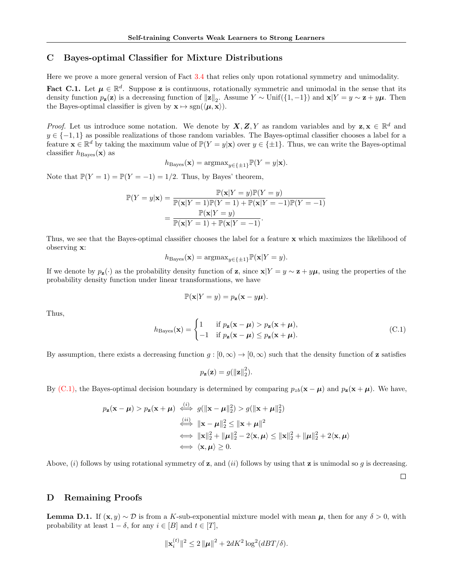## <span id="page-17-0"></span>C Bayes-optimal Classifier for Mixture Distributions

Here we prove a more general version of Fact [3.4](#page-3-0) that relies only upon rotational symmetry and unimodality.

Fact C.1. Let  $\mu \in \mathbb{R}^d$ . Suppose z is continuous, rotationally symmetric and unimodal in the sense that its density function  $p_{\mathbf{z}}(\mathbf{z})$  is a decreasing function of  $\|\mathbf{z}\|_2$ . Assume  $Y \sim \text{Unif}(\{1,-1\})$  and  $\mathbf{x}|Y = y \sim \mathbf{z} + y\boldsymbol{\mu}$ . Then the Bayes-optimal classifier is given by  $\mathbf{x} \mapsto \text{sgn}(\langle \boldsymbol{\mu}, \mathbf{x} \rangle)$ .

*Proof.* Let us introduce some notation. We denote by  $X, Z, Y$  as random variables and by  $z, x \in \mathbb{R}^d$  and  $y \in \{-1, 1\}$  as possible realizations of those random variables. The Bayes-optimal classifier chooses a label for a feature  $\mathbf{x} \in \mathbb{R}^d$  by taking the maximum value of  $\mathbb{P}(Y = y | \mathbf{x})$  over  $y \in \{\pm 1\}$ . Thus, we can write the Bayes-optimal classifier  $h_{\text{Bayes}}(\mathbf{x})$  as

$$
h_{\text{Bayes}}(\mathbf{x}) = \operatorname{argmax}_{y \in \{\pm 1\}} \mathbb{P}(Y = y | \mathbf{x}).
$$

Note that  $\mathbb{P}(Y=1) = \mathbb{P}(Y=-1) = 1/2$ . Thus, by Bayes' theorem,

$$
\mathbb{P}(Y = y|\mathbf{x}) = \frac{\mathbb{P}(\mathbf{x}|Y = y)\mathbb{P}(Y = y)}{\mathbb{P}(\mathbf{x}|Y = 1)\mathbb{P}(Y = 1) + \mathbb{P}(\mathbf{x}|Y = -1)\mathbb{P}(Y = -1)} = \frac{\mathbb{P}(\mathbf{x}|Y = y)}{\mathbb{P}(\mathbf{x}|Y = 1) + \mathbb{P}(\mathbf{x}|Y = -1)}.
$$

Thus, we see that the Bayes-optimal classifier chooses the label for a feature x which maximizes the likelihood of observing x:

$$
h_{\text{Bayes}}(\mathbf{x}) = \operatorname{argmax}_{y \in \{\pm 1\}} \mathbb{P}(\mathbf{x}|Y = y).
$$

If we denote by  $p_{\mathbf{z}}(\cdot)$  as the probability density function of z, since  $\mathbf{x}|Y = y \sim \mathbf{z} + y\boldsymbol{\mu}$ , using the properties of the probability density function under linear transformations, we have

$$
\mathbb{P}(\mathbf{x}|Y=y) = p_{\mathbf{z}}(\mathbf{x}-y\boldsymbol{\mu}).
$$

Thus,

<span id="page-17-2"></span>
$$
h_{\text{Bayes}}(\mathbf{x}) = \begin{cases} 1 & \text{if } p_{\mathbf{z}}(\mathbf{x} - \boldsymbol{\mu}) > p_{\mathbf{z}}(\mathbf{x} + \boldsymbol{\mu}), \\ -1 & \text{if } p_{\mathbf{z}}(\mathbf{x} - \boldsymbol{\mu}) \le p_{\mathbf{z}}(\mathbf{x} + \boldsymbol{\mu}). \end{cases} \tag{C.1}
$$

By assumption, there exists a decreasing function  $g : [0, \infty) \to [0, \infty)$  such that the density function of **z** satisfies

$$
p_{\mathbf{z}}(\mathbf{z}) = g(||\mathbf{z}||_2^2).
$$

By [\(C.1\),](#page-17-2) the Bayes-optimal decision boundary is determined by comparing  $p_{zb}(\mathbf{x} - \boldsymbol{\mu})$  and  $p_{\mathbf{z}}(\mathbf{x} + \boldsymbol{\mu})$ . We have,

$$
p_{\mathbf{z}}(\mathbf{x} - \boldsymbol{\mu}) > p_{\mathbf{z}}(\mathbf{x} + \boldsymbol{\mu}) \stackrel{(i)}{\iff} g(\|\mathbf{x} - \boldsymbol{\mu}\|_2^2) > g(\|\mathbf{x} + \boldsymbol{\mu}\|_2^2)
$$
  

$$
\stackrel{(ii)}{\iff} \|\mathbf{x} - \boldsymbol{\mu}\|_2^2 \le \|\mathbf{x} + \boldsymbol{\mu}\|^2
$$
  

$$
\iff \|\mathbf{x}\|_2^2 + \|\boldsymbol{\mu}\|_2^2 - 2\langle \mathbf{x}, \boldsymbol{\mu} \rangle \le \|\mathbf{x}\|_2^2 + \|\boldsymbol{\mu}\|_2^2 + 2\langle \mathbf{x}, \boldsymbol{\mu} \rangle
$$
  

$$
\iff \langle \mathbf{x}, \boldsymbol{\mu} \rangle \ge 0.
$$

Above, (i) follows by using rotational symmetry of z, and (ii) follows by using that z is unimodal so g is decreasing.

 $\Box$ 

#### D Remaining Proofs

<span id="page-17-1"></span>**Lemma D.1.** If  $(\mathbf{x}, y) \sim \mathcal{D}$  is from a K-sub-exponential mixture model with mean  $\mu$ , then for any  $\delta > 0$ , with probability at least  $1 - \delta$ , for any  $i \in [B]$  and  $t \in [T]$ ,

$$
\|\mathbf{x}_{i}^{(t)}\|^{2} \leq 2\|\boldsymbol{\mu}\|^{2} + 2dK^{2}\log^{2}(dBT/\delta).
$$